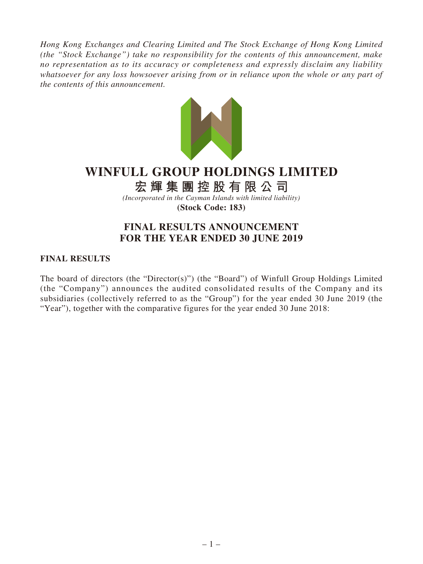*Hong Kong Exchanges and Clearing Limited and The Stock Exchange of Hong Kong Limited (the "Stock Exchange") take no responsibility for the contents of this announcement, make no representation as to its accuracy or completeness and expressly disclaim any liability whatsoever for any loss howsoever arising from or in reliance upon the whole or any part of the contents of this announcement.*



# **WINFULL GROUP HOLDINGS LIMITED**

**宏輝集團控股有限公司**

*(Incorporated in the Cayman Islands with limited liability)* **(Stock Code: 183)**

# **FINAL RESULTS ANNOUNCEMENT FOR THE YEAR ENDED 30 JUNE 2019**

### **FINAL RESULTS**

The board of directors (the "Director(s)") (the "Board") of Winfull Group Holdings Limited (the "Company") announces the audited consolidated results of the Company and its subsidiaries (collectively referred to as the "Group") for the year ended 30 June 2019 (the "Year"), together with the comparative figures for the year ended 30 June 2018: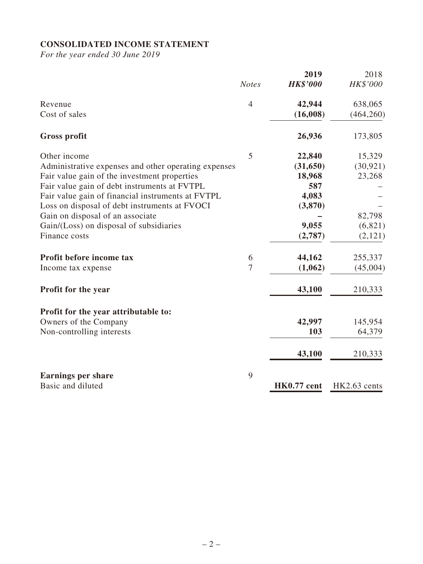# **CONSOLIDATED INCOME STATEMENT**

*For the year ended 30 June 2019*

|                                                      |                | 2019               | 2018         |
|------------------------------------------------------|----------------|--------------------|--------------|
|                                                      | <b>Notes</b>   | <b>HK\$'000</b>    | HK\$'000     |
| Revenue                                              | $\overline{4}$ | 42,944             | 638,065      |
| Cost of sales                                        |                | (16,008)           | (464, 260)   |
| <b>Gross profit</b>                                  |                | 26,936             | 173,805      |
| Other income                                         | 5              | 22,840             | 15,329       |
| Administrative expenses and other operating expenses |                | (31,650)           | (30, 921)    |
| Fair value gain of the investment properties         |                | 18,968             | 23,268       |
| Fair value gain of debt instruments at FVTPL         |                | 587                |              |
| Fair value gain of financial instruments at FVTPL    |                | 4,083              |              |
| Loss on disposal of debt instruments at FVOCI        |                | (3,870)            |              |
| Gain on disposal of an associate                     |                |                    | 82,798       |
| Gain/(Loss) on disposal of subsidiaries              |                | 9,055              | (6,821)      |
| Finance costs                                        |                | (2,787)            | (2,121)      |
| Profit before income tax                             | 6              | 44,162             | 255,337      |
| Income tax expense                                   | $\overline{7}$ | (1,062)            | (45,004)     |
| <b>Profit for the year</b>                           |                | 43,100             | 210,333      |
| Profit for the year attributable to:                 |                |                    |              |
| Owners of the Company                                |                | 42,997             | 145,954      |
| Non-controlling interests                            |                | 103                | 64,379       |
|                                                      |                | 43,100             | 210,333      |
| <b>Earnings per share</b>                            | 9              |                    |              |
| Basic and diluted                                    |                | <b>HK0.77</b> cent | HK2.63 cents |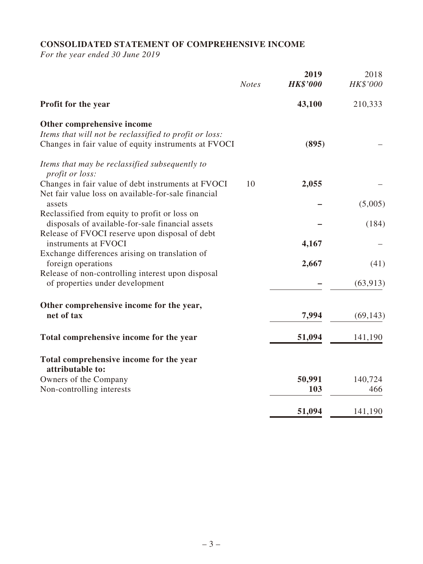# **CONSOLIDATED STATEMENT OF COMPREHENSIVE INCOME**

*For the year ended 30 June 2019*

|                                                                          | <b>Notes</b> | 2019<br><b>HK\$'000</b> | 2018<br>HK\$'000 |
|--------------------------------------------------------------------------|--------------|-------------------------|------------------|
| Profit for the year                                                      |              | 43,100                  | 210,333          |
| Other comprehensive income                                               |              |                         |                  |
| Items that will not be reclassified to profit or loss:                   |              |                         |                  |
| Changes in fair value of equity instruments at FVOCI                     |              | (895)                   |                  |
| Items that may be reclassified subsequently to<br><i>profit or loss:</i> |              |                         |                  |
| Changes in fair value of debt instruments at FVOCI                       | 10           | 2,055                   |                  |
| Net fair value loss on available-for-sale financial                      |              |                         |                  |
| assets                                                                   |              |                         | (5,005)          |
| Reclassified from equity to profit or loss on                            |              |                         |                  |
| disposals of available-for-sale financial assets                         |              |                         | (184)            |
| Release of FVOCI reserve upon disposal of debt<br>instruments at FVOCI   |              |                         |                  |
|                                                                          |              | 4,167                   |                  |
| Exchange differences arising on translation of<br>foreign operations     |              | 2,667                   | (41)             |
| Release of non-controlling interest upon disposal                        |              |                         |                  |
| of properties under development                                          |              |                         | (63, 913)        |
|                                                                          |              |                         |                  |
| Other comprehensive income for the year,                                 |              |                         |                  |
| net of tax                                                               |              | 7,994                   | (69, 143)        |
|                                                                          |              |                         |                  |
| Total comprehensive income for the year                                  |              | 51,094                  | 141,190          |
| Total comprehensive income for the year<br>attributable to:              |              |                         |                  |
| Owners of the Company                                                    |              | 50,991                  | 140,724          |
| Non-controlling interests                                                |              | 103                     | 466              |
|                                                                          |              |                         |                  |
|                                                                          |              | 51,094                  | 141,190          |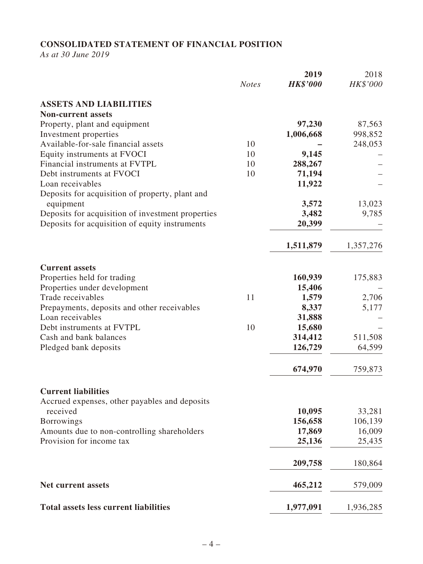# **CONSOLIDATED STATEMENT OF FINANCIAL POSITION**

*As at 30 June 2019*

|                                                   | <b>Notes</b> | 2019<br><b>HK\$'000</b> | 2018<br>HK\$'000 |
|---------------------------------------------------|--------------|-------------------------|------------------|
| <b>ASSETS AND LIABILITIES</b>                     |              |                         |                  |
| <b>Non-current assets</b>                         |              |                         |                  |
| Property, plant and equipment                     |              | 97,230                  | 87,563           |
| Investment properties                             |              | 1,006,668               | 998,852          |
| Available-for-sale financial assets               | 10           |                         | 248,053          |
| Equity instruments at FVOCI                       | 10           | 9,145                   |                  |
| Financial instruments at FVTPL                    | 10           | 288,267                 |                  |
| Debt instruments at FVOCI                         | 10           | 71,194                  |                  |
| Loan receivables                                  |              | 11,922                  |                  |
| Deposits for acquisition of property, plant and   |              |                         |                  |
| equipment                                         |              | 3,572                   | 13,023           |
| Deposits for acquisition of investment properties |              | 3,482                   | 9,785            |
| Deposits for acquisition of equity instruments    |              | 20,399                  |                  |
|                                                   |              | 1,511,879               | 1,357,276        |
| <b>Current assets</b>                             |              |                         |                  |
| Properties held for trading                       |              | 160,939                 | 175,883          |
| Properties under development                      |              | 15,406                  |                  |
| Trade receivables                                 | 11           | 1,579                   | 2,706            |
| Prepayments, deposits and other receivables       |              | 8,337                   | 5,177            |
| Loan receivables                                  |              | 31,888                  |                  |
| Debt instruments at FVTPL                         | 10           | 15,680                  |                  |
| Cash and bank balances                            |              | 314,412                 | 511,508          |
| Pledged bank deposits                             |              | 126,729                 | 64,599           |
|                                                   |              | 674,970                 | 759,873          |
| <b>Current liabilities</b>                        |              |                         |                  |
| Accrued expenses, other payables and deposits     |              |                         |                  |
| received                                          |              | 10,095                  | 33,281           |
| <b>Borrowings</b>                                 |              | 156,658                 | 106,139          |
| Amounts due to non-controlling shareholders       |              | 17,869                  | 16,009           |
| Provision for income tax                          |              | 25,136                  | 25,435           |
|                                                   |              | 209,758                 | 180,864          |
| <b>Net current assets</b>                         |              | 465,212                 | 579,009          |
| <b>Total assets less current liabilities</b>      |              | 1,977,091               | 1,936,285        |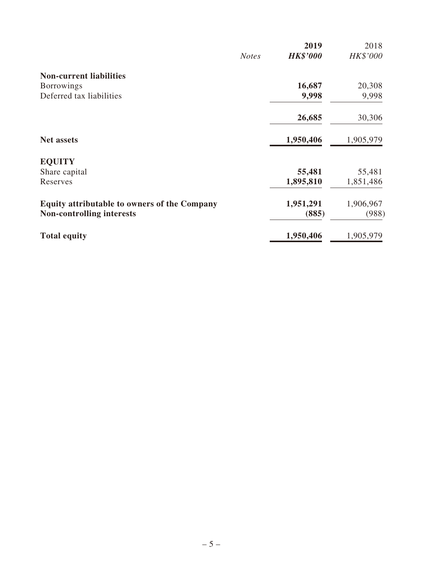|                                                     |              | 2019            | 2018      |
|-----------------------------------------------------|--------------|-----------------|-----------|
|                                                     | <b>Notes</b> | <b>HK\$'000</b> | HK\$'000  |
| <b>Non-current liabilities</b>                      |              |                 |           |
| <b>Borrowings</b>                                   |              | 16,687          | 20,308    |
| Deferred tax liabilities                            |              | 9,998           | 9,998     |
|                                                     |              | 26,685          | 30,306    |
| <b>Net assets</b>                                   |              | 1,950,406       | 1,905,979 |
| <b>EQUITY</b>                                       |              |                 |           |
| Share capital                                       |              | 55,481          | 55,481    |
| Reserves                                            |              | 1,895,810       | 1,851,486 |
| <b>Equity attributable to owners of the Company</b> |              | 1,951,291       | 1,906,967 |
| <b>Non-controlling interests</b>                    |              | (885)           | (988)     |
| <b>Total equity</b>                                 |              | 1,950,406       | 1,905,979 |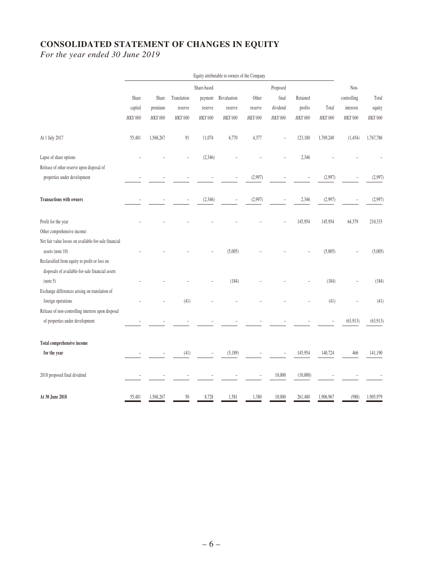# **CONSOLIDATED STATEMENT OF CHANGES IN EQUITY**

*For the year ended 30 June 2019*

|                                                       | Equity attributable to owners of the Company |           |             |             |             |          |          |          |           |             |           |
|-------------------------------------------------------|----------------------------------------------|-----------|-------------|-------------|-------------|----------|----------|----------|-----------|-------------|-----------|
|                                                       |                                              |           |             | Share-based |             |          | Proposed |          |           | Non-        |           |
|                                                       | Share                                        | Share     | Translation | payment     | Revaluation | Other    | final    | Retained |           | controlling | Total     |
|                                                       | capital                                      | premium   | reserve     | reserve     | reserve     | reserve  | dividend | profits  | Total     | interests   | equity    |
|                                                       | HK\$'000                                     | HK\$'000  | HK\$'000    | HK\$'000    | HK\$'000    | HK\$'000 | HK\$'000 | HK\$'000 | HK\$'000  | HK\$'000    | HK\$'000  |
| At 1 July 2017                                        | 55,481                                       | 1,568,267 | 91          | 11,074      | 6,770       | 4,377    |          | 123,180  | 1,769,240 | (1, 454)    | 1,767,786 |
| Lapse of share options                                |                                              |           |             | (2,346)     |             |          |          | 2,346    |           |             |           |
| Release of other reserve upon disposal of             |                                              |           |             |             |             |          |          |          |           |             |           |
| properties under development                          |                                              |           |             |             |             | (2,997)  |          |          | (2,997)   |             | (2,997)   |
| <b>Transactions with owners</b>                       |                                              |           |             | (2, 346)    |             | (2,997)  |          | 2,346    | (2,997)   |             | (2,997)   |
| Profit for the year                                   |                                              |           |             |             |             |          |          | 145,954  | 145,954   | 64,379      | 210,333   |
| Other comprehensive income:                           |                                              |           |             |             |             |          |          |          |           |             |           |
| Net fair value losses on available-for-sale financial |                                              |           |             |             |             |          |          |          |           |             |           |
| assets (note 10)                                      |                                              |           |             |             | (5,005)     |          |          |          | (5,005)   |             | (5,005)   |
| Reclassified from equity to profit or loss on         |                                              |           |             |             |             |          |          |          |           |             |           |
| disposals of available-for-sale financial assets      |                                              |           |             |             |             |          |          |          |           |             |           |
| (note 5)                                              |                                              |           |             |             | (184)       |          |          |          | (184)     |             | (184)     |
| Exchange differences arising on translation of        |                                              |           |             |             |             |          |          |          |           |             |           |
| foreign operations                                    |                                              |           | (41)        |             |             |          |          |          | (41)      |             | (41)      |
| Release of non-controlling interests upon disposal    |                                              |           |             |             |             |          |          |          |           |             |           |
| of properties under development                       |                                              |           |             |             |             |          |          |          |           | (63, 913)   | (63,913)  |
| Total comprehensive income                            |                                              |           |             |             |             |          |          |          |           |             |           |
| for the year                                          |                                              |           | (41)        |             | (5,189)     |          |          | 145,954  | 140,724   | 466         | 141,190   |
| 2018 proposed final dividend                          |                                              |           |             |             |             |          | 10,000   | (10,000) |           |             |           |
| At 30 June 2018                                       | 55,481                                       | 1,568,267 | 50          | 8,728       | 1,581       | 1,380    | 10,000   | 261,480  | 1,906,967 | (988)       | 1,905,979 |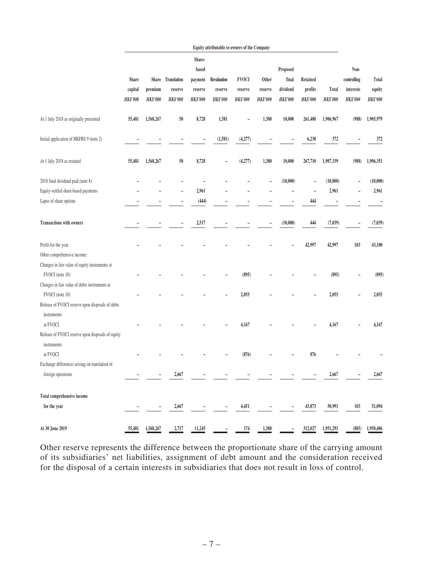|                                                   |                  |                 |                              |                                       | Equity attributable to owners of the Company |                         |                  |                               |                            |                 |                                  |                 |
|---------------------------------------------------|------------------|-----------------|------------------------------|---------------------------------------|----------------------------------------------|-------------------------|------------------|-------------------------------|----------------------------|-----------------|----------------------------------|-----------------|
|                                                   | Share<br>capital | premium         | Share Translation<br>reserve | Share-<br>based<br>payment<br>reserve | Revaluation<br>reserve                       | <b>FVOCI</b><br>reserve | Other<br>reserve | Proposed<br>final<br>dividend | <b>Retained</b><br>profits | Total           | Non-<br>controlling<br>interests | Total<br>equity |
|                                                   | <b>HK\$'000</b>  | <b>HK\$'000</b> | <b>HK\$'000</b>              | <b>HK\$'000</b>                       | <b>HK\$'000</b>                              | <b>HK\$'000</b>         | <b>HK\$'000</b>  | <b>HK\$'000</b>               | <b>HK\$'000</b>            | <b>HK\$'000</b> | <b>HK\$'000</b>                  | <b>HK\$'000</b> |
|                                                   |                  |                 |                              |                                       |                                              |                         |                  |                               |                            |                 |                                  |                 |
| At 1 July 2018 as originally presented            | 55,481           | 1,568,267       | 50                           | 8,728                                 | 1,581                                        |                         | 1,380            | 10,000                        | 261,480                    | 1,906,967       | (988)                            | 1,905,979       |
| Initial application of HKFRS 9 (note 2)           |                  |                 |                              |                                       | (1,581)                                      | (4,277)                 |                  |                               | 6,230                      | 372             |                                  | 372             |
| At 1 July 2018 as restated                        | 55,481           | 1,568,267       | 50                           | 8,728                                 | ٠                                            | (4,277)                 | 1,380            | 10,000                        | 267,710                    | 1,907,339       | (988)                            | 1,906,351       |
| 2018 final dividend paid (note 8)                 |                  |                 |                              |                                       |                                              |                         |                  | (10,000)                      |                            | (10,000)        |                                  | (10,000)        |
| Equity-settled share-based payments               |                  |                 |                              | 2,961                                 |                                              |                         |                  |                               |                            | 2,961           |                                  | 2,961           |
| Lapse of share options                            |                  |                 |                              | (444)                                 |                                              |                         |                  |                               | 444                        |                 |                                  |                 |
| <b>Transactions with owners</b>                   |                  |                 |                              | 2,517                                 |                                              |                         | ۰                | (10,000)                      | 444                        | (7, 039)        |                                  | (7, 039)        |
| Profit for the year                               |                  |                 |                              |                                       |                                              |                         |                  |                               | 42,997                     | 42,997          | 103                              | 43,100          |
| Other comprehensive income:                       |                  |                 |                              |                                       |                                              |                         |                  |                               |                            |                 |                                  |                 |
| Changes in fair value of equity instruments at    |                  |                 |                              |                                       |                                              |                         |                  |                               |                            |                 |                                  |                 |
| FVOCI (note 10)                                   |                  |                 |                              |                                       |                                              | (895)                   |                  |                               |                            | (895)           |                                  | (895)           |
| Changes in fair value of debts instruments at     |                  |                 |                              |                                       |                                              |                         |                  |                               |                            |                 |                                  |                 |
| FVOCI (note 10)                                   |                  |                 |                              |                                       |                                              | 2,055                   |                  |                               |                            | 2,055           |                                  | 2,055           |
| Release of FVOCI reserve upon disposals of debts  |                  |                 |                              |                                       |                                              |                         |                  |                               |                            |                 |                                  |                 |
| instruments                                       |                  |                 |                              |                                       |                                              |                         |                  |                               |                            |                 |                                  |                 |
| at FVOCI                                          |                  |                 |                              |                                       |                                              | 4,167                   |                  |                               |                            | 4,167           |                                  | 4,167           |
| Release of FVOCI reserve upon disposals of equity |                  |                 |                              |                                       |                                              |                         |                  |                               |                            |                 |                                  |                 |
| instruments<br>at FVOCI                           |                  |                 |                              |                                       |                                              | (876)                   |                  |                               | 876                        |                 |                                  |                 |
| Exchange differences arising on translation of    |                  |                 |                              |                                       |                                              |                         |                  |                               |                            |                 |                                  |                 |
| foreign operations                                |                  |                 | 2,667                        |                                       |                                              |                         |                  |                               |                            | 2,667           |                                  | 2,667           |
|                                                   |                  |                 |                              |                                       |                                              |                         |                  |                               |                            |                 |                                  |                 |
| Total comprehensive income                        |                  |                 |                              |                                       |                                              |                         |                  |                               |                            |                 |                                  |                 |
| for the year                                      |                  |                 | 2,667                        |                                       | $\overline{\phantom{0}}$                     | 4,451                   | -                |                               | 43,873                     | 50,991          | 103                              | 51,094          |
| At 30 June 2019                                   | 55,481           | 1,568,267       | 2,717                        | 11,245                                | $\overline{\phantom{0}}$                     | 174                     | 1,380            | $\overline{\phantom{a}}$      | 312,027                    | 1,951,291       | (885)                            | 1,950,406       |

Other reserve represents the difference between the proportionate share of the carrying amount of its subsidiaries' net liabilities, assignment of debt amount and the consideration received for the disposal of a certain interests in subsidiaries that does not result in loss of control.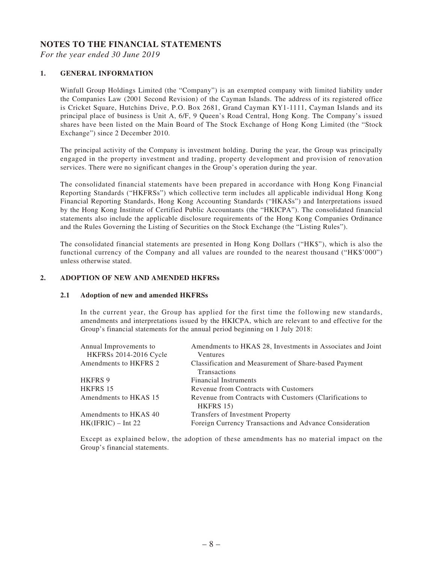#### **NOTES TO THE FINANCIAL STATEMENTS**

*For the year ended 30 June 2019*

#### **1. GENERAL INFORMATION**

Winfull Group Holdings Limited (the "Company") is an exempted company with limited liability under the Companies Law (2001 Second Revision) of the Cayman Islands. The address of its registered office is Cricket Square, Hutchins Drive, P.O. Box 2681, Grand Cayman KY1-1111, Cayman Islands and its principal place of business is Unit A, 6/F, 9 Queen's Road Central, Hong Kong. The Company's issued shares have been listed on the Main Board of The Stock Exchange of Hong Kong Limited (the "Stock Exchange") since 2 December 2010.

The principal activity of the Company is investment holding. During the year, the Group was principally engaged in the property investment and trading, property development and provision of renovation services. There were no significant changes in the Group's operation during the year.

The consolidated financial statements have been prepared in accordance with Hong Kong Financial Reporting Standards ("HKFRSs") which collective term includes all applicable individual Hong Kong Financial Reporting Standards, Hong Kong Accounting Standards ("HKASs") and Interpretations issued by the Hong Kong Institute of Certified Public Accountants (the "HKICPA"). The consolidated financial statements also include the applicable disclosure requirements of the Hong Kong Companies Ordinance and the Rules Governing the Listing of Securities on the Stock Exchange (the "Listing Rules").

The consolidated financial statements are presented in Hong Kong Dollars ("HK\$"), which is also the functional currency of the Company and all values are rounded to the nearest thousand ("HK\$'000") unless otherwise stated.

#### **2. ADOPTION OF NEW AND AMENDED HKFRSs**

#### **2.1 Adoption of new and amended HKFRSs**

In the current year, the Group has applied for the first time the following new standards, amendments and interpretations issued by the HKICPA, which are relevant to and effective for the Group's financial statements for the annual period beginning on 1 July 2018:

| Annual Improvements to<br><b>HKFRSs 2014-2016 Cycle</b> | Amendments to HKAS 28, Investments in Associates and Joint<br><b>Ventures</b> |
|---------------------------------------------------------|-------------------------------------------------------------------------------|
| Amendments to HKFRS 2                                   | Classification and Measurement of Share-based Payment                         |
|                                                         | <b>Transactions</b>                                                           |
| <b>HKFRS 9</b>                                          | <b>Financial Instruments</b>                                                  |
| HKFRS 15                                                | Revenue from Contracts with Customers                                         |
| Amendments to HKAS 15                                   | Revenue from Contracts with Customers (Clarifications to<br>$HKFRS$ 15)       |
| Amendments to HKAS 40                                   | Transfers of Investment Property                                              |
| $HK(IFRIC) - Int 22$                                    | Foreign Currency Transactions and Advance Consideration                       |
|                                                         |                                                                               |

Except as explained below, the adoption of these amendments has no material impact on the Group's financial statements.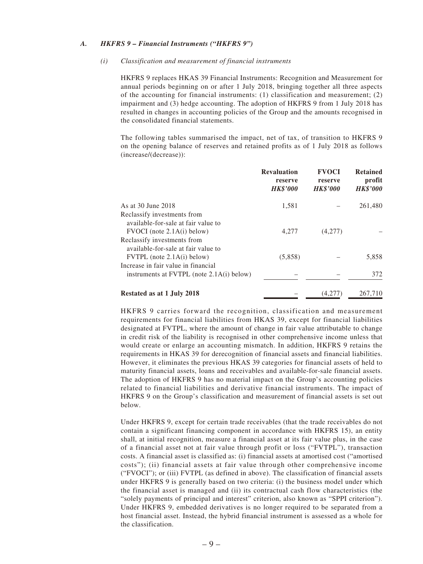#### *A. HKFRS 9 – Financial Instruments ("HKFRS 9")*

#### *(i) Classification and measurement of financial instruments*

HKFRS 9 replaces HKAS 39 Financial Instruments: Recognition and Measurement for annual periods beginning on or after 1 July 2018, bringing together all three aspects of the accounting for financial instruments: (1) classification and measurement; (2) impairment and (3) hedge accounting. The adoption of HKFRS 9 from 1 July 2018 has resulted in changes in accounting policies of the Group and the amounts recognised in the consolidated financial statements.

The following tables summarised the impact, net of tax, of transition to HKFRS 9 on the opening balance of reserves and retained profits as of 1 July 2018 as follows (increase/(decrease)):

|                                                                       | <b>Revaluation</b><br>reserve<br><b>HK\$'000</b> | <b>FVOCI</b><br>reserve<br><b>HK\$'000</b> | <b>Retained</b><br>profit<br><b>HK\$'000</b> |
|-----------------------------------------------------------------------|--------------------------------------------------|--------------------------------------------|----------------------------------------------|
| As at 30 June 2018                                                    | 1,581                                            |                                            | 261,480                                      |
| Reclassify investments from                                           |                                                  |                                            |                                              |
| available-for-sale at fair value to<br>$FVOCI$ (note $2.1A(i)$ below) | 4,277                                            | (4,277)                                    |                                              |
| Reclassify investments from                                           |                                                  |                                            |                                              |
| available-for-sale at fair value to<br>$FVTPL$ (note 2.1A(i) below)   | (5,858)                                          |                                            | 5,858                                        |
| Increase in fair value in financial                                   |                                                  |                                            |                                              |
| instruments at $FVTPL$ (note $2.1A(i)$ below)                         |                                                  |                                            | 372                                          |
| Restated as at 1 July 2018                                            |                                                  | 4.27                                       | 267,710                                      |

HKFRS 9 carries forward the recognition, classification and measurement requirements for financial liabilities from HKAS 39, except for financial liabilities designated at FVTPL, where the amount of change in fair value attributable to change in credit risk of the liability is recognised in other comprehensive income unless that would create or enlarge an accounting mismatch. In addition, HKFRS 9 retains the requirements in HKAS 39 for derecognition of financial assets and financial liabilities. However, it eliminates the previous HKAS 39 categories for financial assets of held to maturity financial assets, loans and receivables and available-for-sale financial assets. The adoption of HKFRS 9 has no material impact on the Group's accounting policies related to financial liabilities and derivative financial instruments. The impact of HKFRS 9 on the Group's classification and measurement of financial assets is set out below.

Under HKFRS 9, except for certain trade receivables (that the trade receivables do not contain a significant financing component in accordance with HKFRS 15), an entity shall, at initial recognition, measure a financial asset at its fair value plus, in the case of a financial asset not at fair value through profit or loss ("FVTPL"), transaction costs. A financial asset is classified as: (i) financial assets at amortised cost ("amortised costs"); (ii) financial assets at fair value through other comprehensive income ("FVOCI"); or (iii) FVTPL (as defined in above). The classification of financial assets under HKFRS 9 is generally based on two criteria: (i) the business model under which the financial asset is managed and (ii) its contractual cash flow characteristics (the "solely payments of principal and interest" criterion, also known as "SPPI criterion"). Under HKFRS 9, embedded derivatives is no longer required to be separated from a host financial asset. Instead, the hybrid financial instrument is assessed as a whole for the classification.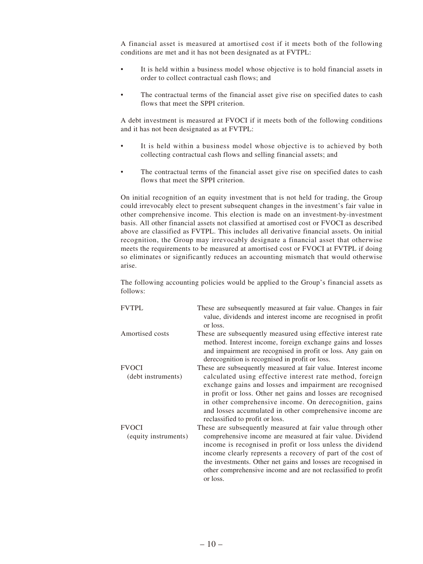A financial asset is measured at amortised cost if it meets both of the following conditions are met and it has not been designated as at FVTPL:

- It is held within a business model whose objective is to hold financial assets in order to collect contractual cash flows; and
- The contractual terms of the financial asset give rise on specified dates to cash flows that meet the SPPI criterion.

A debt investment is measured at FVOCI if it meets both of the following conditions and it has not been designated as at FVTPL:

- It is held within a business model whose objective is to achieved by both collecting contractual cash flows and selling financial assets; and
- The contractual terms of the financial asset give rise on specified dates to cash flows that meet the SPPI criterion.

On initial recognition of an equity investment that is not held for trading, the Group could irrevocably elect to present subsequent changes in the investment's fair value in other comprehensive income. This election is made on an investment-by-investment basis. All other financial assets not classified at amortised cost or FVOCI as described above are classified as FVTPL. This includes all derivative financial assets. On initial recognition, the Group may irrevocably designate a financial asset that otherwise meets the requirements to be measured at amortised cost or FVOCI at FVTPL if doing so eliminates or significantly reduces an accounting mismatch that would otherwise arise.

The following accounting policies would be applied to the Group's financial assets as follows:

| <b>FVTPL</b>                         | These are subsequently measured at fair value. Changes in fair<br>value, dividends and interest income are recognised in profit<br>or loss.                                                                                                                                                                                                                                                                    |
|--------------------------------------|----------------------------------------------------------------------------------------------------------------------------------------------------------------------------------------------------------------------------------------------------------------------------------------------------------------------------------------------------------------------------------------------------------------|
| Amortised costs                      | These are subsequently measured using effective interest rate<br>method. Interest income, foreign exchange gains and losses<br>and impairment are recognised in profit or loss. Any gain on<br>derecognition is recognised in profit or loss.                                                                                                                                                                  |
| <b>FVOCI</b><br>(debt instruments)   | These are subsequently measured at fair value. Interest income<br>calculated using effective interest rate method, foreign<br>exchange gains and losses and impairment are recognised<br>in profit or loss. Other net gains and losses are recognised<br>in other comprehensive income. On derecognition, gains<br>and losses accumulated in other comprehensive income are<br>reclassified to profit or loss. |
| <b>FVOCI</b><br>(equity instruments) | These are subsequently measured at fair value through other<br>comprehensive income are measured at fair value. Dividend<br>income is recognised in profit or loss unless the dividend<br>income clearly represents a recovery of part of the cost of<br>the investments. Other net gains and losses are recognised in<br>other comprehensive income and are not reclassified to profit<br>or loss.            |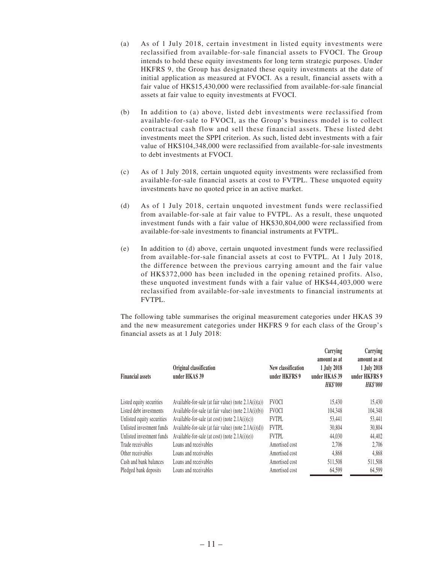- (a) As of 1 July 2018, certain investment in listed equity investments were reclassified from available-for-sale financial assets to FVOCI. The Group intends to hold these equity investments for long term strategic purposes. Under HKFRS 9, the Group has designated these equity investments at the date of initial application as measured at FVOCI. As a result, financial assets with a fair value of HK\$15,430,000 were reclassified from available-for-sale financial assets at fair value to equity investments at FVOCI.
- (b) In addition to (a) above, listed debt investments were reclassified from available-for-sale to FVOCI, as the Group's business model is to collect contractual cash flow and sell these financial assets. These listed debt investments meet the SPPI criterion. As such, listed debt investments with a fair value of HK\$104,348,000 were reclassified from available-for-sale investments to debt investments at FVOCI.
- (c) As of 1 July 2018, certain unquoted equity investments were reclassified from available-for-sale financial assets at cost to FVTPL. These unquoted equity investments have no quoted price in an active market.
- (d) As of 1 July 2018, certain unquoted investment funds were reclassified from available-for-sale at fair value to FVTPL. As a result, these unquoted investment funds with a fair value of HK\$30,804,000 were reclassified from available-for-sale investments to financial instruments at FVTPL.
- (e) In addition to (d) above, certain unquoted investment funds were reclassified from available-for-sale financial assets at cost to FVTPL. At 1 July 2018, the difference between the previous carrying amount and the fair value of HK\$372,000 has been included in the opening retained profits. Also, these unquoted investment funds with a fair value of HK\$44,403,000 were reclassified from available-for-sale investments to financial instruments at FVTPL.

The following table summarises the original measurement categories under HKAS 39 and the new measurement categories under HKFRS 9 for each class of the Group's financial assets as at 1 July 2018:

| <b>Financial assets</b>    | Original classification<br>under HKAS 39                | New classification<br>under HKFRS 9 | Carrying<br>amount as at<br>1 July 2018<br>under HKAS 39<br><b>HK\$'000</b> | Carrying<br>amount as at<br>1 July 2018<br>under HKFRS 9<br><b>HK\$'000</b> |
|----------------------------|---------------------------------------------------------|-------------------------------------|-----------------------------------------------------------------------------|-----------------------------------------------------------------------------|
| Listed equity securities   | Available-for-sale (at fair value) (note $2.1A(i)(a)$ ) | <b>FVOCI</b>                        | 15.430                                                                      | 15.430                                                                      |
| Listed debt investments    | Available-for-sale (at fair value) (note $2.1A(i)(b)$ ) | <b>FVOCI</b>                        | 104,348                                                                     | 104,348                                                                     |
| Unlisted equity securities | Available-for-sale (at cost) (note $2.1A(i)(c)$ )       | <b>FVTPL</b>                        | 53,441                                                                      | 53.441                                                                      |
| Unlisted investment funds  | Available-for-sale (at fair value) (note $2.1A(i)(d)$ ) | <b>FVTPL</b>                        | 30,804                                                                      | 30,804                                                                      |
| Unlisted investment funds  | Available-for-sale (at cost) (note $2.1A(i)(e)$ )       | <b>FVTPL</b>                        | 44,030                                                                      | 44,402                                                                      |
| Trade receivables          | Loans and receivables                                   | Amortised cost                      | 2.706                                                                       | 2,706                                                                       |
| Other receivables          | Loans and receivables                                   | Amortised cost                      | 4.868                                                                       | 4,868                                                                       |
| Cash and bank balances     | Loans and receivables                                   | Amortised cost                      | 511,508                                                                     | 511,508                                                                     |
| Pledged bank deposits      | Loans and receivables                                   | Amortised cost                      | 64.599                                                                      | 64.599                                                                      |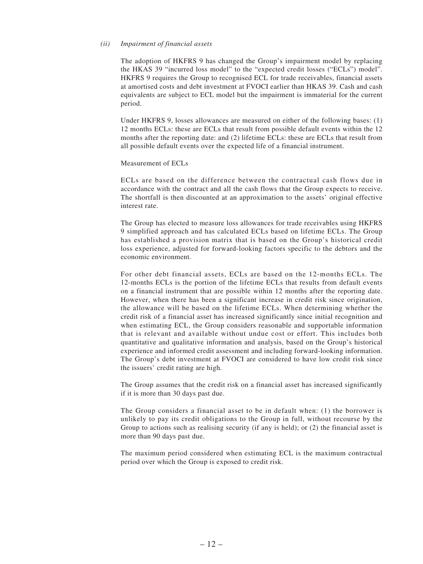#### *(ii) Impairment of financial assets*

The adoption of HKFRS 9 has changed the Group's impairment model by replacing the HKAS 39 "incurred loss model" to the "expected credit losses ("ECLs") model". HKFRS 9 requires the Group to recognised ECL for trade receivables, financial assets at amortised costs and debt investment at FVOCI earlier than HKAS 39. Cash and cash equivalents are subject to ECL model but the impairment is immaterial for the current period.

Under HKFRS 9, losses allowances are measured on either of the following bases: (1) 12 months ECLs: these are ECLs that result from possible default events within the 12 months after the reporting date: and (2) lifetime ECLs: these are ECLs that result from all possible default events over the expected life of a financial instrument.

#### Measurement of ECLs

ECLs are based on the difference between the contractual cash flows due in accordance with the contract and all the cash flows that the Group expects to receive. The shortfall is then discounted at an approximation to the assets' original effective interest rate.

The Group has elected to measure loss allowances for trade receivables using HKFRS 9 simplified approach and has calculated ECLs based on lifetime ECLs. The Group has established a provision matrix that is based on the Group's historical credit loss experience, adjusted for forward-looking factors specific to the debtors and the economic environment.

For other debt financial assets, ECLs are based on the 12-months ECLs. The 12-months ECLs is the portion of the lifetime ECLs that results from default events on a financial instrument that are possible within 12 months after the reporting date. However, when there has been a significant increase in credit risk since origination, the allowance will be based on the lifetime ECLs. When determining whether the credit risk of a financial asset has increased significantly since initial recognition and when estimating ECL, the Group considers reasonable and supportable information that is relevant and available without undue cost or effort. This includes both quantitative and qualitative information and analysis, based on the Group's historical experience and informed credit assessment and including forward-looking information. The Group's debt investment at FVOCI are considered to have low credit risk since the issuers' credit rating are high.

The Group assumes that the credit risk on a financial asset has increased significantly if it is more than 30 days past due.

The Group considers a financial asset to be in default when: (1) the borrower is unlikely to pay its credit obligations to the Group in full, without recourse by the Group to actions such as realising security (if any is held); or (2) the financial asset is more than 90 days past due.

The maximum period considered when estimating ECL is the maximum contractual period over which the Group is exposed to credit risk.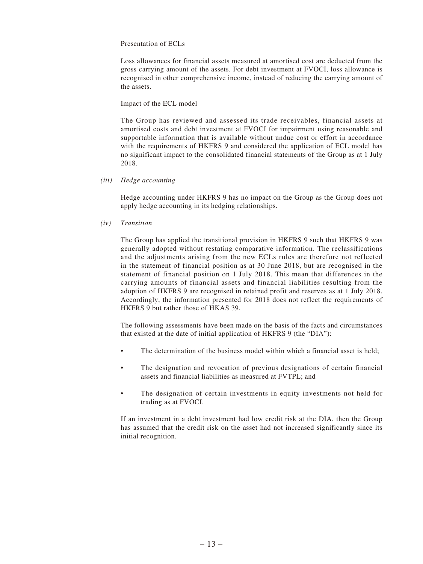#### Presentation of ECLs

Loss allowances for financial assets measured at amortised cost are deducted from the gross carrying amount of the assets. For debt investment at FVOCI, loss allowance is recognised in other comprehensive income, instead of reducing the carrying amount of the assets.

#### Impact of the ECL model

The Group has reviewed and assessed its trade receivables, financial assets at amortised costs and debt investment at FVOCI for impairment using reasonable and supportable information that is available without undue cost or effort in accordance with the requirements of HKFRS 9 and considered the application of ECL model has no significant impact to the consolidated financial statements of the Group as at 1 July 2018.

#### *(iii) Hedge accounting*

Hedge accounting under HKFRS 9 has no impact on the Group as the Group does not apply hedge accounting in its hedging relationships.

#### *(iv) Transition*

The Group has applied the transitional provision in HKFRS 9 such that HKFRS 9 was generally adopted without restating comparative information. The reclassifications and the adjustments arising from the new ECLs rules are therefore not reflected in the statement of financial position as at 30 June 2018, but are recognised in the statement of financial position on 1 July 2018. This mean that differences in the carrying amounts of financial assets and financial liabilities resulting from the adoption of HKFRS 9 are recognised in retained profit and reserves as at 1 July 2018. Accordingly, the information presented for 2018 does not reflect the requirements of HKFRS 9 but rather those of HKAS 39.

The following assessments have been made on the basis of the facts and circumstances that existed at the date of initial application of HKFRS 9 (the "DIA"):

- The determination of the business model within which a financial asset is held;
- The designation and revocation of previous designations of certain financial assets and financial liabilities as measured at FVTPL; and
- The designation of certain investments in equity investments not held for trading as at FVOCI.

If an investment in a debt investment had low credit risk at the DIA, then the Group has assumed that the credit risk on the asset had not increased significantly since its initial recognition.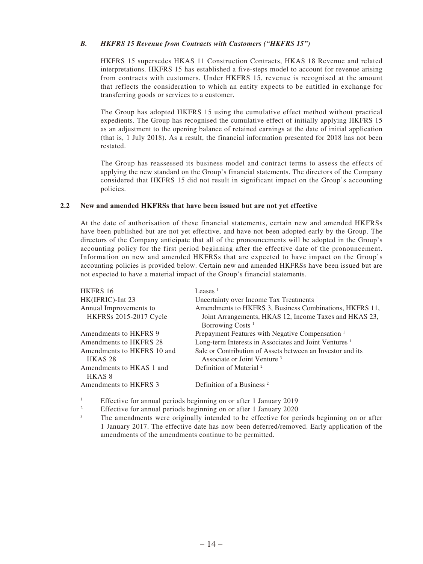#### *B. HKFRS 15 Revenue from Contracts with Customers ("HKFRS 15")*

HKFRS 15 supersedes HKAS 11 Construction Contracts, HKAS 18 Revenue and related interpretations. HKFRS 15 has established a five-steps model to account for revenue arising from contracts with customers. Under HKFRS 15, revenue is recognised at the amount that reflects the consideration to which an entity expects to be entitled in exchange for transferring goods or services to a customer.

The Group has adopted HKFRS 15 using the cumulative effect method without practical expedients. The Group has recognised the cumulative effect of initially applying HKFRS 15 as an adjustment to the opening balance of retained earnings at the date of initial application (that is, 1 July 2018). As a result, the financial information presented for 2018 has not been restated.

The Group has reassessed its business model and contract terms to assess the effects of applying the new standard on the Group's financial statements. The directors of the Company considered that HKFRS 15 did not result in significant impact on the Group's accounting policies.

#### **2.2 New and amended HKFRSs that have been issued but are not yet effective**

At the date of authorisation of these financial statements, certain new and amended HKFRSs have been published but are not yet effective, and have not been adopted early by the Group. The directors of the Company anticipate that all of the pronouncements will be adopted in the Group's accounting policy for the first period beginning after the effective date of the pronouncement. Information on new and amended HKFRSs that are expected to have impact on the Group's accounting policies is provided below. Certain new and amended HKFRSs have been issued but are not expected to have a material impact of the Group's financial statements.

| HKFRS 16                                         | Leases $1$                                                                                            |
|--------------------------------------------------|-------------------------------------------------------------------------------------------------------|
| HK(IFRIC)-Int 23                                 | Uncertainty over Income Tax Treatments <sup>1</sup>                                                   |
| Annual Improvements to                           | Amendments to HKFRS 3, Business Combinations, HKFRS 11,                                               |
| HKFRSs 2015-2017 Cycle                           | Joint Arrangements, HKAS 12, Income Taxes and HKAS 23,                                                |
|                                                  | Borrowing Costs <sup>1</sup>                                                                          |
| Amendments to HKFRS 9                            | Prepayment Features with Negative Compensation <sup>1</sup>                                           |
| Amendments to HKFRS 28                           | Long-term Interests in Associates and Joint Ventures <sup>1</sup>                                     |
| Amendments to HKFRS 10 and<br>HKAS <sub>28</sub> | Sale or Contribution of Assets between an Investor and its<br>Associate or Joint Venture <sup>3</sup> |
| Amendments to HKAS 1 and<br>HKAS <sup>8</sup>    | Definition of Material <sup>2</sup>                                                                   |
| Amendments to HKFRS 3                            | Definition of a Business <sup>2</sup>                                                                 |

1 Effective for annual periods beginning on or after 1 January 2019

2 Effective for annual periods beginning on or after 1 January 2020

3 The amendments were originally intended to be effective for periods beginning on or after 1 January 2017. The effective date has now been deferred/removed. Early application of the amendments of the amendments continue to be permitted.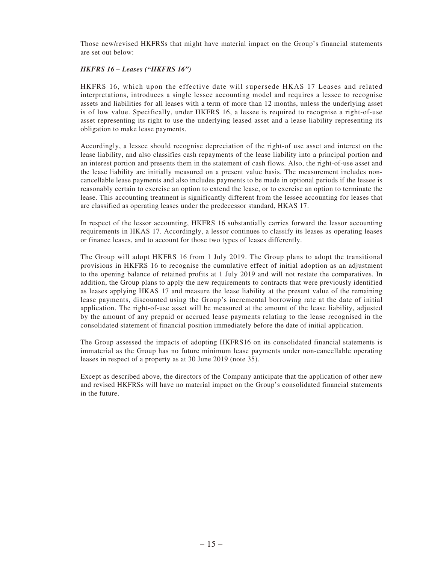Those new/revised HKFRSs that might have material impact on the Group's financial statements are set out below:

#### *HKFRS 16 – Leases ("HKFRS 16")*

HKFRS 16, which upon the effective date will supersede HKAS 17 Leases and related interpretations, introduces a single lessee accounting model and requires a lessee to recognise assets and liabilities for all leases with a term of more than 12 months, unless the underlying asset is of low value. Specifically, under HKFRS 16, a lessee is required to recognise a right-of-use asset representing its right to use the underlying leased asset and a lease liability representing its obligation to make lease payments.

Accordingly, a lessee should recognise depreciation of the right-of use asset and interest on the lease liability, and also classifies cash repayments of the lease liability into a principal portion and an interest portion and presents them in the statement of cash flows. Also, the right-of-use asset and the lease liability are initially measured on a present value basis. The measurement includes noncancellable lease payments and also includes payments to be made in optional periods if the lessee is reasonably certain to exercise an option to extend the lease, or to exercise an option to terminate the lease. This accounting treatment is significantly different from the lessee accounting for leases that are classified as operating leases under the predecessor standard, HKAS 17.

In respect of the lessor accounting, HKFRS 16 substantially carries forward the lessor accounting requirements in HKAS 17. Accordingly, a lessor continues to classify its leases as operating leases or finance leases, and to account for those two types of leases differently.

The Group will adopt HKFRS 16 from 1 July 2019. The Group plans to adopt the transitional provisions in HKFRS 16 to recognise the cumulative effect of initial adoption as an adjustment to the opening balance of retained profits at 1 July 2019 and will not restate the comparatives. In addition, the Group plans to apply the new requirements to contracts that were previously identified as leases applying HKAS 17 and measure the lease liability at the present value of the remaining lease payments, discounted using the Group's incremental borrowing rate at the date of initial application. The right-of-use asset will be measured at the amount of the lease liability, adjusted by the amount of any prepaid or accrued lease payments relating to the lease recognised in the consolidated statement of financial position immediately before the date of initial application.

The Group assessed the impacts of adopting HKFRS16 on its consolidated financial statements is immaterial as the Group has no future minimum lease payments under non-cancellable operating leases in respect of a property as at 30 June 2019 (note 35).

Except as described above, the directors of the Company anticipate that the application of other new and revised HKFRSs will have no material impact on the Group's consolidated financial statements in the future.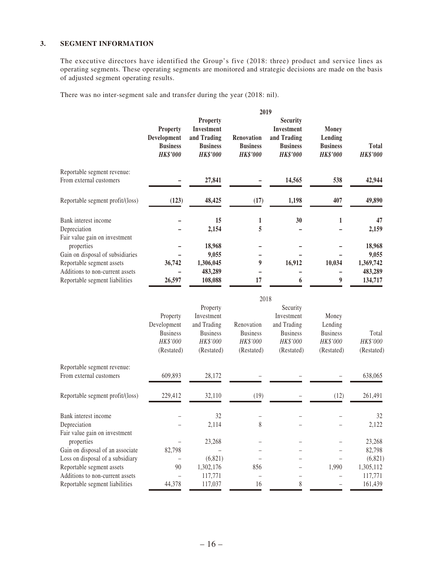#### **3. SEGMENT INFORMATION**

The executive directors have identified the Group's five (2018: three) product and service lines as operating segments. These operating segments are monitored and strategic decisions are made on the basis of adjusted segment operating results.

There was no inter-segment sale and transfer during the year (2018: nil).

|                                  | 2019                                                                 |                                                                                    |                                                  |                                                                                           |                                                               |                                 |  |  |
|----------------------------------|----------------------------------------------------------------------|------------------------------------------------------------------------------------|--------------------------------------------------|-------------------------------------------------------------------------------------------|---------------------------------------------------------------|---------------------------------|--|--|
|                                  | <b>Property</b><br>Development<br><b>Business</b><br><b>HK\$'000</b> | <b>Property</b><br>Investment<br>and Trading<br><b>Business</b><br><b>HK\$'000</b> | Renovation<br><b>Business</b><br><b>HK\$'000</b> | <b>Security</b><br><b>Investment</b><br>and Trading<br><b>Business</b><br><b>HK\$'000</b> | <b>Money</b><br>Lending<br><b>Business</b><br><b>HK\$'000</b> | <b>Total</b><br><b>HK\$'000</b> |  |  |
| Reportable segment revenue:      |                                                                      |                                                                                    |                                                  |                                                                                           |                                                               |                                 |  |  |
| From external customers          |                                                                      | 27,841                                                                             |                                                  | 14,565                                                                                    | 538                                                           | 42,944                          |  |  |
| Reportable segment profit/(loss) | (123)                                                                | 48,425                                                                             | (17)                                             | 1,198                                                                                     | 407                                                           | 49,890                          |  |  |
| Bank interest income             |                                                                      | 15                                                                                 | 1                                                | 30                                                                                        |                                                               | 47                              |  |  |
| Depreciation                     |                                                                      | 2,154                                                                              | 5                                                |                                                                                           |                                                               | 2,159                           |  |  |
| Fair value gain on investment    |                                                                      |                                                                                    |                                                  |                                                                                           |                                                               |                                 |  |  |
| properties                       |                                                                      | 18,968                                                                             |                                                  |                                                                                           |                                                               | 18,968                          |  |  |
| Gain on disposal of subsidiaries |                                                                      | 9,055                                                                              |                                                  |                                                                                           |                                                               | 9,055                           |  |  |
| Reportable segment assets        | 36,742                                                               | 1,306,045                                                                          | 9                                                | 16,912                                                                                    | 10,034                                                        | 1,369,742                       |  |  |
| Additions to non-current assets  |                                                                      | 483,289                                                                            |                                                  |                                                                                           |                                                               | 483,289                         |  |  |
| Reportable segment liabilities   | 26,597                                                               | 108,088                                                                            | 17                                               | 6                                                                                         | 9                                                             | 134,717                         |  |  |

|                                  | 2018                                                                 |                                                                                    |                                                         |                                                                                    |                                                               |                                 |  |  |
|----------------------------------|----------------------------------------------------------------------|------------------------------------------------------------------------------------|---------------------------------------------------------|------------------------------------------------------------------------------------|---------------------------------------------------------------|---------------------------------|--|--|
|                                  | Property<br>Development<br><b>Business</b><br>HK\$'000<br>(Restated) | Property<br>Investment<br>and Trading<br><b>Business</b><br>HK\$'000<br>(Restated) | Renovation<br><b>Business</b><br>HK\$'000<br>(Restated) | Security<br>Investment<br>and Trading<br><b>Business</b><br>HK\$'000<br>(Restated) | Money<br>Lending<br><b>Business</b><br>HK\$'000<br>(Restated) | Total<br>HK\$'000<br>(Restated) |  |  |
| Reportable segment revenue:      |                                                                      |                                                                                    |                                                         |                                                                                    |                                                               |                                 |  |  |
| From external customers          | 609,893                                                              | 28,172                                                                             |                                                         |                                                                                    |                                                               | 638,065                         |  |  |
| Reportable segment profit/(loss) | 229,412                                                              | 32,110                                                                             | (19)                                                    |                                                                                    | (12)                                                          | 261,491                         |  |  |
| Bank interest income             |                                                                      | 32                                                                                 |                                                         |                                                                                    |                                                               | 32                              |  |  |
| Depreciation                     |                                                                      | 2,114                                                                              | 8                                                       |                                                                                    |                                                               | 2,122                           |  |  |
| Fair value gain on investment    |                                                                      |                                                                                    |                                                         |                                                                                    |                                                               |                                 |  |  |
| properties                       |                                                                      | 23,268                                                                             |                                                         |                                                                                    |                                                               | 23,268                          |  |  |
| Gain on disposal of an associate | 82,798                                                               |                                                                                    |                                                         |                                                                                    |                                                               | 82,798                          |  |  |
| Loss on disposal of a subsidiary |                                                                      | (6,821)                                                                            |                                                         |                                                                                    |                                                               | (6,821)                         |  |  |
| Reportable segment assets        | 90                                                                   | 1,302,176                                                                          | 856                                                     |                                                                                    | 1,990                                                         | 1,305,112                       |  |  |
| Additions to non-current assets  |                                                                      | 117,771                                                                            |                                                         |                                                                                    |                                                               | 117,771                         |  |  |
| Reportable segment liabilities   | 44,378                                                               | 117,037                                                                            | 16                                                      | 8                                                                                  |                                                               | 161,439                         |  |  |
|                                  |                                                                      |                                                                                    |                                                         |                                                                                    |                                                               |                                 |  |  |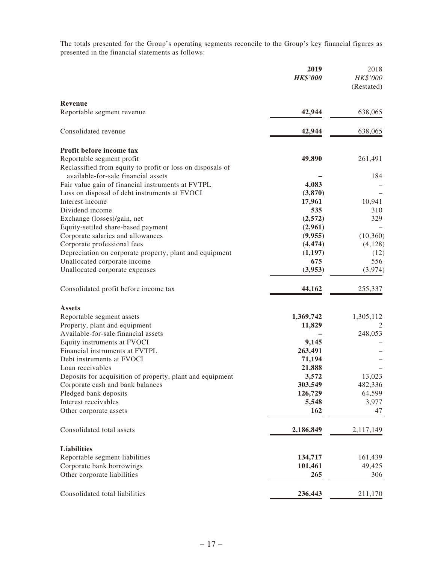The totals presented for the Group's operating segments reconcile to the Group's key financial figures as presented in the financial statements as follows:

|                                                            | 2019<br><b>HK\$'000</b> | 2018<br>HK\$'000 |
|------------------------------------------------------------|-------------------------|------------------|
|                                                            |                         | (Restated)       |
| Revenue                                                    |                         |                  |
| Reportable segment revenue                                 | 42,944                  | 638,065          |
| Consolidated revenue                                       | 42,944                  | 638,065          |
| Profit before income tax                                   |                         |                  |
| Reportable segment profit                                  | 49,890                  | 261,491          |
| Reclassified from equity to profit or loss on disposals of |                         |                  |
| available-for-sale financial assets                        |                         | 184              |
| Fair value gain of financial instruments at FVTPL          | 4,083                   |                  |
| Loss on disposal of debt instruments at FVOCI              | (3,870)                 |                  |
| Interest income                                            | 17,961                  | 10,941           |
| Dividend income                                            | 535                     | 310              |
| Exchange (losses)/gain, net                                | (2,572)                 | 329              |
| Equity-settled share-based payment                         | (2,961)                 |                  |
| Corporate salaries and allowances                          | (9,955)                 | (10, 360)        |
| Corporate professional fees                                | (4, 474)                | (4,128)          |
| Depreciation on corporate property, plant and equipment    | (1,197)<br>675          | (12)             |
| Unallocated corporate income                               | (3,953)                 | 556              |
| Unallocated corporate expenses                             |                         | (3,974)          |
| Consolidated profit before income tax                      | 44,162                  | 255,337          |
| <b>Assets</b>                                              |                         |                  |
| Reportable segment assets                                  | 1,369,742               | 1,305,112        |
| Property, plant and equipment                              | 11,829                  |                  |
| Available-for-sale financial assets                        |                         | 248,053          |
| Equity instruments at FVOCI                                | 9,145                   |                  |
| Financial instruments at FVTPL                             | 263,491                 |                  |
| Debt instruments at FVOCI                                  | 71,194                  |                  |
| Loan receivables                                           | 21,888                  |                  |
| Deposits for acquisition of property, plant and equipment  | 3,572                   | 13,023           |
| Corporate cash and bank balances                           | 303,549                 | 482,336          |
| Pledged bank deposits                                      | 126,729                 | 64,599           |
| Interest receivables                                       | 5,548                   | 3,977            |
| Other corporate assets                                     | 162                     | 47               |
| Consolidated total assets                                  | 2,186,849               | 2,117,149        |
| <b>Liabilities</b>                                         |                         |                  |
| Reportable segment liabilities                             | 134,717                 | 161,439          |
| Corporate bank borrowings                                  | 101,461                 | 49,425           |
| Other corporate liabilities                                | 265                     | 306              |
| Consolidated total liabilities                             | 236,443                 | 211,170          |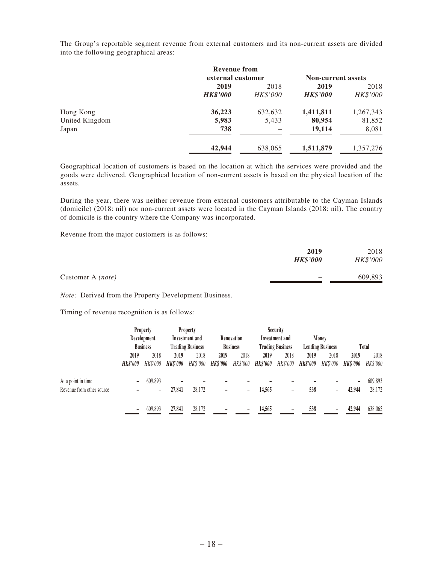The Group's reportable segment revenue from external customers and its non-current assets are divided into the following geographical areas:

|                | <b>Revenue from</b> |                 |                           |           |  |
|----------------|---------------------|-----------------|---------------------------|-----------|--|
|                | external customer   |                 | <b>Non-current assets</b> |           |  |
|                | 2019                | 2018            |                           |           |  |
|                | <b>HK\$'000</b>     | <b>HK\$'000</b> | <b>HK\$'000</b>           | HK\$'000  |  |
| Hong Kong      | 36,223              | 632,632         | 1,411,811                 | 1,267,343 |  |
| United Kingdom | 5,983               | 5,433           | 80,954                    | 81,852    |  |
| Japan          | 738                 |                 | 19,114                    | 8,081     |  |
|                | 42,944              | 638,065         | 1,511,879                 | 1,357,276 |  |

Geographical location of customers is based on the location at which the services were provided and the goods were delivered. Geographical location of non-current assets is based on the physical location of the assets.

During the year, there was neither revenue from external customers attributable to the Cayman Islands (domicile) (2018: nil) nor non-current assets were located in the Cayman Islands (2018: nil). The country of domicile is the country where the Company was incorporated.

Revenue from the major customers is as follows:

|                          | 2019<br><b>HK\$'000</b>  | 2018<br>HK\$'000 |
|--------------------------|--------------------------|------------------|
| Customer A <i>(note)</i> | $\overline{\phantom{0}}$ | 609,893          |

*Note:* Derived from the Property Development Business.

Timing of revenue recognition is as follows:

|                           |                 | <b>Property</b>          |                         | <b>Property</b> |                 | <b>Security</b> |                         |                |                         |          |                 |          |
|---------------------------|-----------------|--------------------------|-------------------------|-----------------|-----------------|-----------------|-------------------------|----------------|-------------------------|----------|-----------------|----------|
|                           |                 | Development              |                         | Investment and  |                 | Renovation      |                         | Investment and |                         | Money    |                 |          |
|                           | <b>Business</b> |                          | <b>Trading Business</b> |                 | <b>Business</b> |                 | <b>Trading Business</b> |                | <b>Lending Business</b> |          | Total           |          |
|                           | 2019            | 2018                     | 2019                    | 2018            | 2019            | 2018            | 2019                    | 2018           | 2019                    | 2018     | 2019            | 2018     |
|                           | <b>HK\$'000</b> | HK\$'000                 | <b>HK\$'000</b>         | HK\$'000        | <b>HK\$'000</b> | HK\$'000        | <b>HK\$'000</b>         | HK\$'000       | <b>HK\$'000</b>         | HK\$'000 | <b>HK\$'000</b> | HK\$'000 |
| At a point in time        |                 | 609,893                  |                         |                 |                 |                 |                         |                |                         |          | -               | 609,893  |
| Revenue from other source |                 | $\overline{\phantom{0}}$ | 27,841                  | 28.172          |                 | $\equiv$        | 14.565                  |                | 538                     |          | 42,944          | 28,172   |
|                           |                 | 609,893                  | 27,841                  | 28,172          |                 |                 | 14,565                  |                | 538                     |          | 42,944          | 638,065  |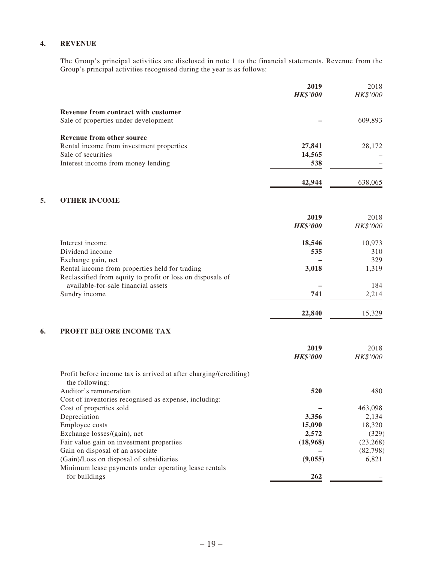#### **4. REVENUE**

The Group's principal activities are disclosed in note 1 to the financial statements. Revenue from the Group's principal activities recognised during the year is as follows:

|    |                                                                                                              | 2019<br><b>HK\$'000</b> | 2018<br>$HK\$ '000 |
|----|--------------------------------------------------------------------------------------------------------------|-------------------------|--------------------|
|    | Revenue from contract with customer                                                                          |                         |                    |
|    | Sale of properties under development                                                                         |                         | 609,893            |
|    | <b>Revenue from other source</b>                                                                             |                         |                    |
|    | Rental income from investment properties                                                                     | 27,841                  | 28,172             |
|    | Sale of securities                                                                                           | 14,565                  |                    |
|    | Interest income from money lending                                                                           | 538                     |                    |
|    |                                                                                                              | 42,944                  | 638,065            |
| 5. | <b>OTHER INCOME</b>                                                                                          |                         |                    |
|    |                                                                                                              |                         |                    |
|    |                                                                                                              | 2019<br><b>HK\$'000</b> | 2018<br>HK\$'000   |
|    |                                                                                                              |                         |                    |
|    | Interest income                                                                                              | 18,546                  | 10,973             |
|    | Dividend income                                                                                              | 535                     | 310                |
|    | Exchange gain, net                                                                                           |                         | 329                |
|    | Rental income from properties held for trading<br>Reclassified from equity to profit or loss on disposals of | 3,018                   | 1,319              |
|    | available-for-sale financial assets                                                                          |                         | 184                |
|    | Sundry income                                                                                                | 741                     | 2,214              |
|    |                                                                                                              | 22,840                  | 15,329             |
| 6. | PROFIT BEFORE INCOME TAX                                                                                     |                         |                    |
|    |                                                                                                              | 2019                    | 2018               |
|    |                                                                                                              | <b>HK\$'000</b>         | HK\$'000           |
|    | Profit before income tax is arrived at after charging/(crediting)<br>the following:                          |                         |                    |
|    | Auditor's remuneration                                                                                       | 520                     | 480                |
|    | Cost of inventories recognised as expense, including:                                                        |                         |                    |
|    | Cost of properties sold                                                                                      |                         | 463,098            |
|    | Depreciation                                                                                                 | 3,356                   | 2,134              |
|    | Employee costs                                                                                               | 15,090                  | 18,320             |
|    | Exchange losses/(gain), net                                                                                  | 2,572                   | (329)              |
|    | Fair value gain on investment properties                                                                     | (18,968)                | (23, 268)          |
|    | Gain on disposal of an associate                                                                             |                         | (82, 798)          |
|    | (Gain)/Loss on disposal of subsidiaries<br>Minimum lease payments under operating lease rentals              | (9,055)                 | 6,821              |
|    | for buildings                                                                                                | 262                     |                    |
|    |                                                                                                              |                         |                    |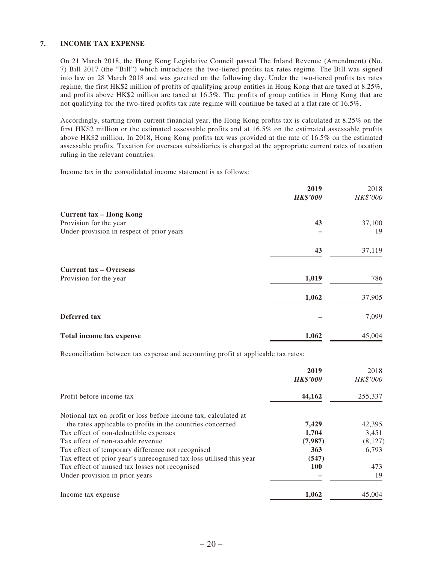#### **7. INCOME TAX EXPENSE**

On 21 March 2018, the Hong Kong Legislative Council passed The Inland Revenue (Amendment) (No. 7) Bill 2017 (the "Bill") which introduces the two-tiered profits tax rates regime. The Bill was signed into law on 28 March 2018 and was gazetted on the following day. Under the two-tiered profits tax rates regime, the first HK\$2 million of profits of qualifying group entities in Hong Kong that are taxed at 8.25%, and profits above HK\$2 million are taxed at 16.5%. The profits of group entities in Hong Kong that are not qualifying for the two-tired profits tax rate regime will continue be taxed at a flat rate of 16.5%.

Accordingly, starting from current financial year, the Hong Kong profits tax is calculated at 8.25% on the first HK\$2 million or the estimated assessable profits and at 16.5% on the estimated assessable profits above HK\$2 million. In 2018, Hong Kong profits tax was provided at the rate of 16.5% on the estimated assessable profits. Taxation for overseas subsidiaries is charged at the appropriate current rates of taxation ruling in the relevant countries.

Income tax in the consolidated income statement is as follows:

|                                           | 2019<br><b>HK\$'000</b> | 2018<br>HK\$'000 |
|-------------------------------------------|-------------------------|------------------|
| <b>Current tax - Hong Kong</b>            |                         |                  |
| Provision for the year                    | 43                      | 37,100           |
| Under-provision in respect of prior years |                         | 19               |
|                                           | 43                      | 37,119           |
| <b>Current tax – Overseas</b>             |                         |                  |
| Provision for the year                    | 1,019                   | 786              |
|                                           | 1,062                   | 37,905           |
| Deferred tax                              |                         | 7,099            |
| Total income tax expense                  | 1,062                   | 45,004           |

Reconciliation between tax expense and accounting profit at applicable tax rates:

|                                                                     | 2019<br><b>HK\$'000</b> | 2018<br><b>HK\$'000</b> |
|---------------------------------------------------------------------|-------------------------|-------------------------|
| Profit before income tax                                            | 44,162                  | 255,337                 |
| Notional tax on profit or loss before income tax, calculated at     |                         |                         |
| the rates applicable to profits in the countries concerned          | 7,429                   | 42,395                  |
| Tax effect of non-deductible expenses                               | 1,704                   | 3,451                   |
| Tax effect of non-taxable revenue                                   | (7,987)                 | (8, 127)                |
| Tax effect of temporary difference not recognised                   | 363                     | 6.793                   |
| Tax effect of prior year's unrecognised tax loss utilised this year | (547)                   |                         |
| Tax effect of unused tax losses not recognised                      | <b>100</b>              | 473                     |
| Under-provision in prior years                                      |                         | 19                      |
| Income tax expense                                                  | 1,062                   | 45,004                  |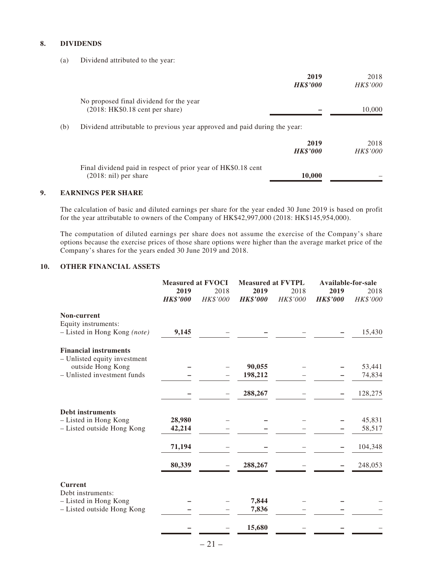#### **8. DIVIDENDS**

(a) Dividend attributed to the year:

|     |                                                                                                 | 2019<br><b>HK\$'000</b> | 2018<br>HK\$'000 |
|-----|-------------------------------------------------------------------------------------------------|-------------------------|------------------|
|     | No proposed final dividend for the year<br>$(2018: HK $0.18$ cent per share)                    |                         | 10,000           |
| (b) | Dividend attributable to previous year approved and paid during the year:                       |                         |                  |
|     |                                                                                                 | 2019<br><b>HK\$'000</b> | 2018<br>HK\$'000 |
|     | Final dividend paid in respect of prior year of HK\$0.18 cent<br>$(2018: \text{nil})$ per share | 10,000                  |                  |

#### **9. EARNINGS PER SHARE**

The calculation of basic and diluted earnings per share for the year ended 30 June 2019 is based on profit for the year attributable to owners of the Company of HK\$42,997,000 (2018: HK\$145,954,000).

The computation of diluted earnings per share does not assume the exercise of the Company's share options because the exercise prices of those share options were higher than the average market price of the Company's shares for the years ended 30 June 2019 and 2018.

#### **10. OTHER FINANCIAL ASSETS**

|                                                              | <b>Measured at FVOCI</b> |                         | <b>Measured at FVTPL</b> |                  | Available-for-sale      |                  |  |
|--------------------------------------------------------------|--------------------------|-------------------------|--------------------------|------------------|-------------------------|------------------|--|
|                                                              | 2019<br><b>HK\$'000</b>  | 2018<br><b>HK\$'000</b> | 2019<br><b>HK\$'000</b>  | 2018<br>HK\$'000 | 2019<br><b>HK\$'000</b> | 2018<br>HK\$'000 |  |
| Non-current<br>Equity instruments:                           |                          |                         |                          |                  |                         |                  |  |
| - Listed in Hong Kong (note)                                 | 9,145                    |                         |                          |                  |                         | 15,430           |  |
| <b>Financial instruments</b><br>- Unlisted equity investment |                          |                         |                          |                  |                         |                  |  |
| outside Hong Kong                                            |                          |                         | 90,055                   |                  |                         | 53,441           |  |
| - Unlisted investment funds                                  |                          |                         | 198,212                  |                  |                         | 74,834           |  |
|                                                              |                          |                         | 288,267                  |                  |                         | 128,275          |  |
| <b>Debt instruments</b>                                      |                          |                         |                          |                  |                         |                  |  |
| - Listed in Hong Kong                                        | 28,980                   |                         |                          |                  |                         | 45,831           |  |
| - Listed outside Hong Kong                                   | 42,214                   |                         |                          |                  |                         | 58,517           |  |
|                                                              | 71,194                   |                         |                          |                  |                         | 104,348          |  |
|                                                              | 80,339                   |                         | 288,267                  |                  |                         | 248,053          |  |
| <b>Current</b><br>Debt instruments:                          |                          |                         |                          |                  |                         |                  |  |
| - Listed in Hong Kong                                        |                          |                         | 7,844                    |                  |                         |                  |  |
| - Listed outside Hong Kong                                   |                          |                         | 7,836                    |                  |                         |                  |  |
|                                                              |                          |                         | 15,680                   |                  |                         |                  |  |
|                                                              |                          |                         |                          |                  |                         |                  |  |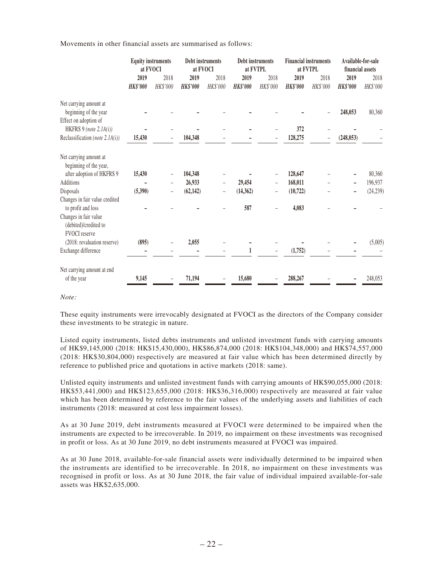Movements in other financial assets are summarised as follows:

|                                                                               | <b>Equity instruments</b><br>at FVOCI |                  | Debt instruments<br>at FVOCI |                  | Debt instruments<br>at FVTPL |                          | <b>Financial instruments</b><br>at FVTPL |                  | Available-for-sale<br>financial assets |                  |
|-------------------------------------------------------------------------------|---------------------------------------|------------------|------------------------------|------------------|------------------------------|--------------------------|------------------------------------------|------------------|----------------------------------------|------------------|
|                                                                               | 2019<br><b>HK\$'000</b>               | 2018<br>HK\$'000 | 2019<br><b>HK\$'000</b>      | 2018<br>HK\$'000 | 2019<br><b>HK\$'000</b>      | 2018<br>HK\$'000         | 2019<br><b>HK\$'000</b>                  | 2018<br>HK\$'000 | 2019<br><b>HK\$'000</b>                | 2018<br>HK\$'000 |
| Net carrying amount at<br>beginning of the year                               |                                       |                  |                              |                  |                              |                          |                                          |                  | 248,053                                | 80,360           |
| Effect on adoption of<br>HKFRS 9 (note 2.1A(i))                               |                                       |                  |                              |                  |                              |                          | 372                                      |                  |                                        |                  |
| Reclassification (note $2.1A(i)$ )                                            | 15,430                                |                  | 104,348                      |                  |                              |                          | 128,275                                  |                  | (248, 053)                             |                  |
| Net carrying amount at<br>beginning of the year,                              |                                       |                  |                              |                  |                              |                          |                                          |                  |                                        |                  |
| after adoption of HKFRS 9                                                     | 15,430                                |                  | 104,348                      |                  |                              |                          | 128,647                                  |                  |                                        | 80,360           |
| <b>Additions</b>                                                              |                                       |                  | 26,933                       |                  | 29,454                       | $\overline{\phantom{0}}$ | 168,011                                  |                  |                                        | 196,937          |
| Disposals                                                                     | (5,390)                               |                  | (62, 142)                    |                  | (14, 362)                    |                          | (10, 722)                                |                  |                                        | (24, 239)        |
| Changes in fair value credited<br>to profit and loss<br>Changes in fair value |                                       |                  |                              |                  | 587                          |                          | 4,083                                    |                  |                                        |                  |
| (debited)/credited to<br><b>FVOCI</b> reserve                                 |                                       |                  |                              |                  |                              |                          |                                          |                  |                                        |                  |
| (2018: revaluation reserve)                                                   | (895)                                 |                  | 2,055                        |                  |                              |                          |                                          |                  |                                        | (5,005)          |
| Exchange difference                                                           |                                       |                  |                              |                  |                              |                          | (1,752)                                  |                  |                                        |                  |
| Net carrying amount at end                                                    |                                       |                  |                              |                  |                              |                          |                                          |                  |                                        |                  |
| of the year                                                                   | 9,145                                 |                  | 71,194                       |                  | 15,680                       |                          | 288,267                                  |                  |                                        | 248,053          |

*Note:*

These equity instruments were irrevocably designated at FVOCI as the directors of the Company consider these investments to be strategic in nature.

Listed equity instruments, listed debts instruments and unlisted investment funds with carrying amounts of HK\$9,145,000 (2018: HK\$15,430,000), HK\$86,874,000 (2018: HK\$104,348,000) and HK\$74,557,000 (2018: HK\$30,804,000) respectively are measured at fair value which has been determined directly by reference to published price and quotations in active markets (2018: same).

Unlisted equity instruments and unlisted investment funds with carrying amounts of HK\$90,055,000 (2018: HK\$53,441,000) and HK\$123,655,000 (2018: HK\$36,316,000) respectively are measured at fair value which has been determined by reference to the fair values of the underlying assets and liabilities of each instruments (2018: measured at cost less impairment losses).

As at 30 June 2019, debt instruments measured at FVOCI were determined to be impaired when the instruments are expected to be irrecoverable. In 2019, no impairment on these investments was recognised in profit or loss. As at 30 June 2019, no debt instruments measured at FVOCI was impaired.

As at 30 June 2018, available-for-sale financial assets were individually determined to be impaired when the instruments are identified to be irrecoverable. In 2018, no impairment on these investments was recognised in profit or loss. As at 30 June 2018, the fair value of individual impaired available-for-sale assets was HK\$2,635,000.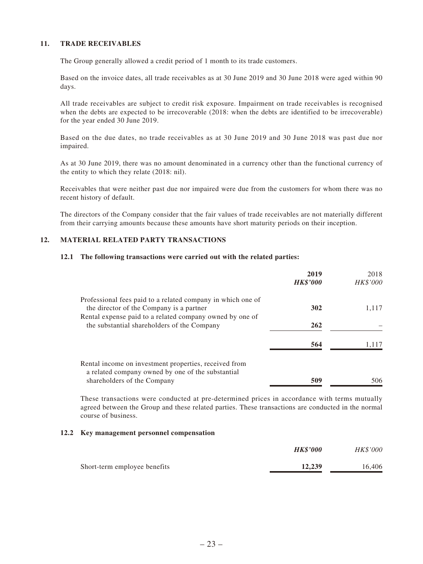#### **11. TRADE RECEIVABLES**

The Group generally allowed a credit period of 1 month to its trade customers.

Based on the invoice dates, all trade receivables as at 30 June 2019 and 30 June 2018 were aged within 90 days.

All trade receivables are subject to credit risk exposure. Impairment on trade receivables is recognised when the debts are expected to be irrecoverable (2018: when the debts are identified to be irrecoverable) for the year ended 30 June 2019.

Based on the due dates, no trade receivables as at 30 June 2019 and 30 June 2018 was past due nor impaired.

As at 30 June 2019, there was no amount denominated in a currency other than the functional currency of the entity to which they relate (2018: nil).

Receivables that were neither past due nor impaired were due from the customers for whom there was no recent history of default.

The directors of the Company consider that the fair values of trade receivables are not materially different from their carrying amounts because these amounts have short maturity periods on their inception.

#### **12. MATERIAL RELATED PARTY TRANSACTIONS**

#### **12.1 The following transactions were carried out with the related parties:**

|                                                                                                            | 2019<br><b>HK\$'000</b> | 2018<br>HK\$'000 |
|------------------------------------------------------------------------------------------------------------|-------------------------|------------------|
| Professional fees paid to a related company in which one of<br>the director of the Company is a partner    | 302                     | 1.117            |
| Rental expense paid to a related company owned by one of<br>the substantial shareholders of the Company    | 262                     |                  |
|                                                                                                            | 564                     | 1.117            |
| Rental income on investment properties, received from<br>a related company owned by one of the substantial |                         |                  |
| shareholders of the Company                                                                                | 509                     | 506              |

These transactions were conducted at pre-determined prices in accordance with terms mutually agreed between the Group and these related parties. These transactions are conducted in the normal course of business.

#### **12.2 Key management personnel compensation**

|                              | <b>HK\$'000</b> | <b>HK\$'000</b> |
|------------------------------|-----------------|-----------------|
| Short-term employee benefits | 12.239          | 16,406          |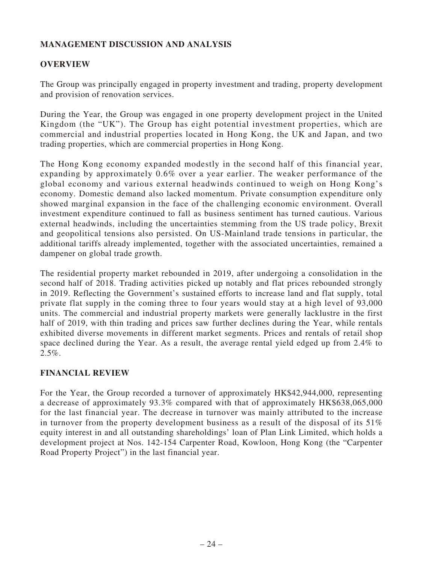# **MANAGEMENT DISCUSSION AND ANALYSIS**

### **OVERVIEW**

The Group was principally engaged in property investment and trading, property development and provision of renovation services.

During the Year, the Group was engaged in one property development project in the United Kingdom (the "UK"). The Group has eight potential investment properties, which are commercial and industrial properties located in Hong Kong, the UK and Japan, and two trading properties, which are commercial properties in Hong Kong.

The Hong Kong economy expanded modestly in the second half of this financial year, expanding by approximately 0.6% over a year earlier. The weaker performance of the global economy and various external headwinds continued to weigh on Hong Kong's economy. Domestic demand also lacked momentum. Private consumption expenditure only showed marginal expansion in the face of the challenging economic environment. Overall investment expenditure continued to fall as business sentiment has turned cautious. Various external headwinds, including the uncertainties stemming from the US trade policy, Brexit and geopolitical tensions also persisted. On US-Mainland trade tensions in particular, the additional tariffs already implemented, together with the associated uncertainties, remained a dampener on global trade growth.

The residential property market rebounded in 2019, after undergoing a consolidation in the second half of 2018. Trading activities picked up notably and flat prices rebounded strongly in 2019. Reflecting the Government's sustained efforts to increase land and flat supply, total private flat supply in the coming three to four years would stay at a high level of 93,000 units. The commercial and industrial property markets were generally lacklustre in the first half of 2019, with thin trading and prices saw further declines during the Year, while rentals exhibited diverse movements in different market segments. Prices and rentals of retail shop space declined during the Year. As a result, the average rental yield edged up from 2.4% to  $2.5\%$ .

### **FINANCIAL REVIEW**

For the Year, the Group recorded a turnover of approximately HK\$42,944,000, representing a decrease of approximately 93.3% compared with that of approximately HK\$638,065,000 for the last financial year. The decrease in turnover was mainly attributed to the increase in turnover from the property development business as a result of the disposal of its 51% equity interest in and all outstanding shareholdings' loan of Plan Link Limited, which holds a development project at Nos. 142-154 Carpenter Road, Kowloon, Hong Kong (the "Carpenter Road Property Project") in the last financial year.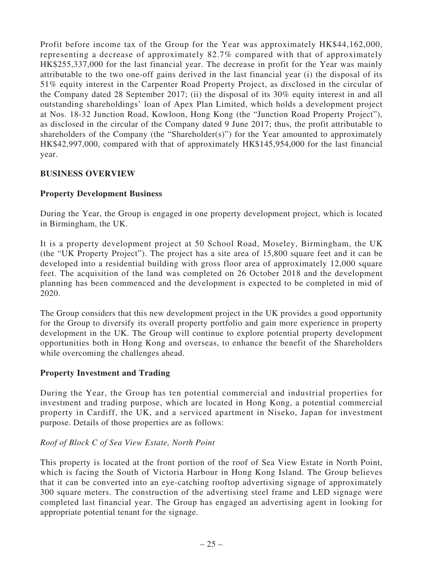Profit before income tax of the Group for the Year was approximately HK\$44,162,000, representing a decrease of approximately 82.7% compared with that of approximately HK\$255,337,000 for the last financial year. The decrease in profit for the Year was mainly attributable to the two one-off gains derived in the last financial year (i) the disposal of its 51% equity interest in the Carpenter Road Property Project, as disclosed in the circular of the Company dated 28 September 2017; (ii) the disposal of its 30% equity interest in and all outstanding shareholdings' loan of Apex Plan Limited, which holds a development project at Nos. 18-32 Junction Road, Kowloon, Hong Kong (the "Junction Road Property Project"), as disclosed in the circular of the Company dated 9 June 2017; thus, the profit attributable to shareholders of the Company (the "Shareholder(s)") for the Year amounted to approximately HK\$42,997,000, compared with that of approximately HK\$145,954,000 for the last financial year.

### **BUSINESS OVERVIEW**

### **Property Development Business**

During the Year, the Group is engaged in one property development project, which is located in Birmingham, the UK.

It is a property development project at 50 School Road, Moseley, Birmingham, the UK (the "UK Property Project"). The project has a site area of 15,800 square feet and it can be developed into a residential building with gross floor area of approximately 12,000 square feet. The acquisition of the land was completed on 26 October 2018 and the development planning has been commenced and the development is expected to be completed in mid of 2020.

The Group considers that this new development project in the UK provides a good opportunity for the Group to diversify its overall property portfolio and gain more experience in property development in the UK. The Group will continue to explore potential property development opportunities both in Hong Kong and overseas, to enhance the benefit of the Shareholders while overcoming the challenges ahead.

#### **Property Investment and Trading**

During the Year, the Group has ten potential commercial and industrial properties for investment and trading purpose, which are located in Hong Kong, a potential commercial property in Cardiff, the UK, and a serviced apartment in Niseko, Japan for investment purpose. Details of those properties are as follows:

#### *Roof of Block C of Sea View Estate, North Point*

This property is located at the front portion of the roof of Sea View Estate in North Point, which is facing the South of Victoria Harbour in Hong Kong Island. The Group believes that it can be converted into an eye-catching rooftop advertising signage of approximately 300 square meters. The construction of the advertising steel frame and LED signage were completed last financial year. The Group has engaged an advertising agent in looking for appropriate potential tenant for the signage.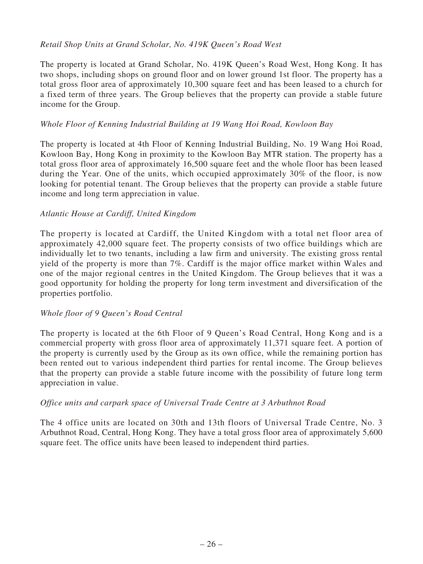### *Retail Shop Units at Grand Scholar, No. 419K Queen's Road West*

The property is located at Grand Scholar, No. 419K Queen's Road West, Hong Kong. It has two shops, including shops on ground floor and on lower ground 1st floor. The property has a total gross floor area of approximately 10,300 square feet and has been leased to a church for a fixed term of three years. The Group believes that the property can provide a stable future income for the Group.

### *Whole Floor of Kenning Industrial Building at 19 Wang Hoi Road, Kowloon Bay*

The property is located at 4th Floor of Kenning Industrial Building, No. 19 Wang Hoi Road, Kowloon Bay, Hong Kong in proximity to the Kowloon Bay MTR station. The property has a total gross floor area of approximately 16,500 square feet and the whole floor has been leased during the Year. One of the units, which occupied approximately 30% of the floor, is now looking for potential tenant. The Group believes that the property can provide a stable future income and long term appreciation in value.

### *Atlantic House at Cardiff, United Kingdom*

The property is located at Cardiff, the United Kingdom with a total net floor area of approximately 42,000 square feet. The property consists of two office buildings which are individually let to two tenants, including a law firm and university. The existing gross rental yield of the property is more than 7%. Cardiff is the major office market within Wales and one of the major regional centres in the United Kingdom. The Group believes that it was a good opportunity for holding the property for long term investment and diversification of the properties portfolio.

#### *Whole floor of 9 Queen's Road Central*

The property is located at the 6th Floor of 9 Queen's Road Central, Hong Kong and is a commercial property with gross floor area of approximately 11,371 square feet. A portion of the property is currently used by the Group as its own office, while the remaining portion has been rented out to various independent third parties for rental income. The Group believes that the property can provide a stable future income with the possibility of future long term appreciation in value.

#### *Office units and carpark space of Universal Trade Centre at 3 Arbuthnot Road*

The 4 office units are located on 30th and 13th floors of Universal Trade Centre, No. 3 Arbuthnot Road, Central, Hong Kong. They have a total gross floor area of approximately 5,600 square feet. The office units have been leased to independent third parties.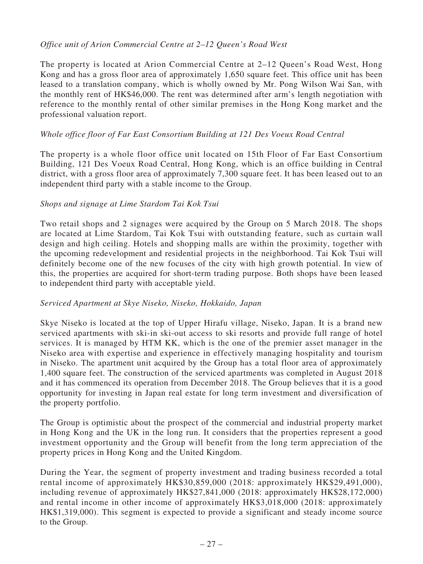### *Office unit of Arion Commercial Centre at 2–12 Queen's Road West*

The property is located at Arion Commercial Centre at 2–12 Queen's Road West, Hong Kong and has a gross floor area of approximately 1,650 square feet. This office unit has been leased to a translation company, which is wholly owned by Mr. Pong Wilson Wai San, with the monthly rent of HK\$46,000. The rent was determined after arm's length negotiation with reference to the monthly rental of other similar premises in the Hong Kong market and the professional valuation report.

### *Whole office floor of Far East Consortium Building at 121 Des Voeux Road Central*

The property is a whole floor office unit located on 15th Floor of Far East Consortium Building, 121 Des Voeux Road Central, Hong Kong, which is an office building in Central district, with a gross floor area of approximately 7,300 square feet. It has been leased out to an independent third party with a stable income to the Group.

### *Shops and signage at Lime Stardom Tai Kok Tsui*

Two retail shops and 2 signages were acquired by the Group on 5 March 2018. The shops are located at Lime Stardom, Tai Kok Tsui with outstanding feature, such as curtain wall design and high ceiling. Hotels and shopping malls are within the proximity, together with the upcoming redevelopment and residential projects in the neighborhood. Tai Kok Tsui will definitely become one of the new focuses of the city with high growth potential. In view of this, the properties are acquired for short-term trading purpose. Both shops have been leased to independent third party with acceptable yield.

#### *Serviced Apartment at Skye Niseko, Niseko, Hokkaido, Japan*

Skye Niseko is located at the top of Upper Hirafu village, Niseko, Japan. It is a brand new serviced apartments with ski-in ski-out access to ski resorts and provide full range of hotel services. It is managed by HTM KK, which is the one of the premier asset manager in the Niseko area with expertise and experience in effectively managing hospitality and tourism in Niseko. The apartment unit acquired by the Group has a total floor area of approximately 1,400 square feet. The construction of the serviced apartments was completed in August 2018 and it has commenced its operation from December 2018. The Group believes that it is a good opportunity for investing in Japan real estate for long term investment and diversification of the property portfolio.

The Group is optimistic about the prospect of the commercial and industrial property market in Hong Kong and the UK in the long run. It considers that the properties represent a good investment opportunity and the Group will benefit from the long term appreciation of the property prices in Hong Kong and the United Kingdom.

During the Year, the segment of property investment and trading business recorded a total rental income of approximately HK\$30,859,000 (2018: approximately HK\$29,491,000), including revenue of approximately HK\$27,841,000 (2018: approximately HK\$28,172,000) and rental income in other income of approximately HK\$3,018,000 (2018: approximately HK\$1,319,000). This segment is expected to provide a significant and steady income source to the Group.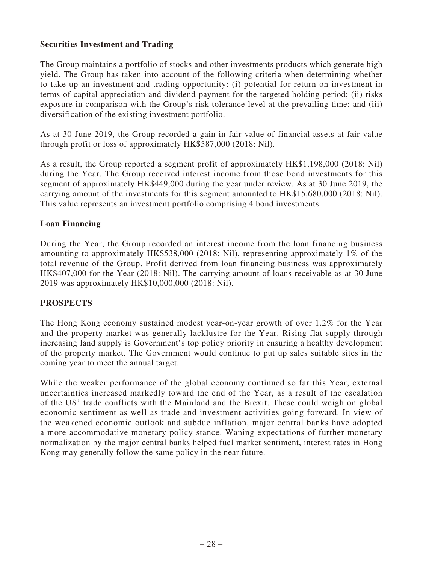### **Securities Investment and Trading**

The Group maintains a portfolio of stocks and other investments products which generate high yield. The Group has taken into account of the following criteria when determining whether to take up an investment and trading opportunity: (i) potential for return on investment in terms of capital appreciation and dividend payment for the targeted holding period; (ii) risks exposure in comparison with the Group's risk tolerance level at the prevailing time; and (iii) diversification of the existing investment portfolio.

As at 30 June 2019, the Group recorded a gain in fair value of financial assets at fair value through profit or loss of approximately HK\$587,000 (2018: Nil).

As a result, the Group reported a segment profit of approximately HK\$1,198,000 (2018: Nil) during the Year. The Group received interest income from those bond investments for this segment of approximately HK\$449,000 during the year under review. As at 30 June 2019, the carrying amount of the investments for this segment amounted to HK\$15,680,000 (2018: Nil). This value represents an investment portfolio comprising 4 bond investments.

### **Loan Financing**

During the Year, the Group recorded an interest income from the loan financing business amounting to approximately HK\$538,000 (2018: Nil), representing approximately 1% of the total revenue of the Group. Profit derived from loan financing business was approximately HK\$407,000 for the Year (2018: Nil). The carrying amount of loans receivable as at 30 June 2019 was approximately HK\$10,000,000 (2018: Nil).

### **PROSPECTS**

The Hong Kong economy sustained modest year-on-year growth of over 1.2% for the Year and the property market was generally lacklustre for the Year. Rising flat supply through increasing land supply is Government's top policy priority in ensuring a healthy development of the property market. The Government would continue to put up sales suitable sites in the coming year to meet the annual target.

While the weaker performance of the global economy continued so far this Year, external uncertainties increased markedly toward the end of the Year, as a result of the escalation of the US' trade conflicts with the Mainland and the Brexit. These could weigh on global economic sentiment as well as trade and investment activities going forward. In view of the weakened economic outlook and subdue inflation, major central banks have adopted a more accommodative monetary policy stance. Waning expectations of further monetary normalization by the major central banks helped fuel market sentiment, interest rates in Hong Kong may generally follow the same policy in the near future.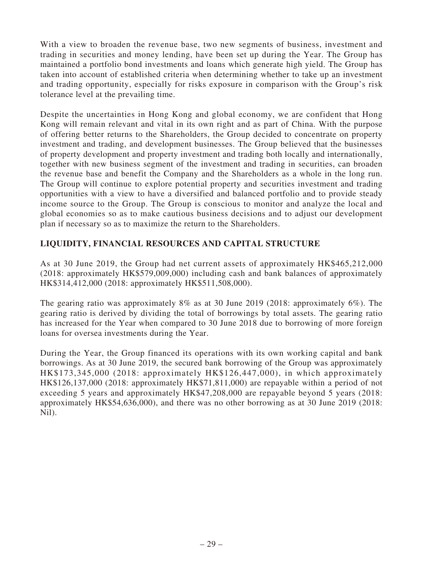With a view to broaden the revenue base, two new segments of business, investment and trading in securities and money lending, have been set up during the Year. The Group has maintained a portfolio bond investments and loans which generate high yield. The Group has taken into account of established criteria when determining whether to take up an investment and trading opportunity, especially for risks exposure in comparison with the Group's risk tolerance level at the prevailing time.

Despite the uncertainties in Hong Kong and global economy, we are confident that Hong Kong will remain relevant and vital in its own right and as part of China. With the purpose of offering better returns to the Shareholders, the Group decided to concentrate on property investment and trading, and development businesses. The Group believed that the businesses of property development and property investment and trading both locally and internationally, together with new business segment of the investment and trading in securities, can broaden the revenue base and benefit the Company and the Shareholders as a whole in the long run. The Group will continue to explore potential property and securities investment and trading opportunities with a view to have a diversified and balanced portfolio and to provide steady income source to the Group. The Group is conscious to monitor and analyze the local and global economies so as to make cautious business decisions and to adjust our development plan if necessary so as to maximize the return to the Shareholders.

# **LIQUIDITY, FINANCIAL RESOURCES AND CAPITAL STRUCTURE**

As at 30 June 2019, the Group had net current assets of approximately HK\$465,212,000 (2018: approximately HK\$579,009,000) including cash and bank balances of approximately HK\$314,412,000 (2018: approximately HK\$511,508,000).

The gearing ratio was approximately 8% as at 30 June 2019 (2018: approximately 6%). The gearing ratio is derived by dividing the total of borrowings by total assets. The gearing ratio has increased for the Year when compared to 30 June 2018 due to borrowing of more foreign loans for oversea investments during the Year.

During the Year, the Group financed its operations with its own working capital and bank borrowings. As at 30 June 2019, the secured bank borrowing of the Group was approximately HK\$173,345,000 (2018: approximately HK\$126,447,000), in which approximately HK\$126,137,000 (2018: approximately HK\$71,811,000) are repayable within a period of not exceeding 5 years and approximately HK\$47,208,000 are repayable beyond 5 years (2018: approximately HK\$54,636,000), and there was no other borrowing as at 30 June 2019 (2018: Nil).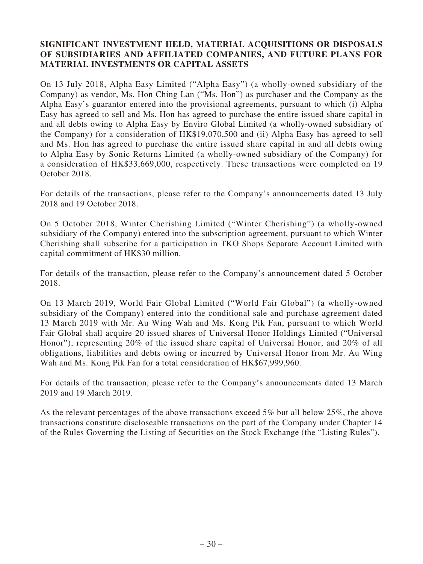### **SIGNIFICANT INVESTMENT HELD, MATERIAL ACQUISITIONS OR DISPOSALS OF SUBSIDIARIES AND AFFILIATED COMPANIES, AND FUTURE PLANS FOR MATERIAL INVESTMENTS OR CAPITAL ASSETS**

On 13 July 2018, Alpha Easy Limited ("Alpha Easy") (a wholly-owned subsidiary of the Company) as vendor, Ms. Hon Ching Lan ("Ms. Hon") as purchaser and the Company as the Alpha Easy's guarantor entered into the provisional agreements, pursuant to which (i) Alpha Easy has agreed to sell and Ms. Hon has agreed to purchase the entire issued share capital in and all debts owing to Alpha Easy by Enviro Global Limited (a wholly-owned subsidiary of the Company) for a consideration of HK\$19,070,500 and (ii) Alpha Easy has agreed to sell and Ms. Hon has agreed to purchase the entire issued share capital in and all debts owing to Alpha Easy by Sonic Returns Limited (a wholly-owned subsidiary of the Company) for a consideration of HK\$33,669,000, respectively. These transactions were completed on 19 October 2018.

For details of the transactions, please refer to the Company's announcements dated 13 July 2018 and 19 October 2018.

On 5 October 2018, Winter Cherishing Limited ("Winter Cherishing") (a wholly-owned subsidiary of the Company) entered into the subscription agreement, pursuant to which Winter Cherishing shall subscribe for a participation in TKO Shops Separate Account Limited with capital commitment of HK\$30 million.

For details of the transaction, please refer to the Company's announcement dated 5 October 2018.

On 13 March 2019, World Fair Global Limited ("World Fair Global") (a wholly-owned subsidiary of the Company) entered into the conditional sale and purchase agreement dated 13 March 2019 with Mr. Au Wing Wah and Ms. Kong Pik Fan, pursuant to which World Fair Global shall acquire 20 issued shares of Universal Honor Holdings Limited ("Universal Honor"), representing 20% of the issued share capital of Universal Honor, and 20% of all obligations, liabilities and debts owing or incurred by Universal Honor from Mr. Au Wing Wah and Ms. Kong Pik Fan for a total consideration of HK\$67,999,960.

For details of the transaction, please refer to the Company's announcements dated 13 March 2019 and 19 March 2019.

As the relevant percentages of the above transactions exceed 5% but all below 25%, the above transactions constitute discloseable transactions on the part of the Company under Chapter 14 of the Rules Governing the Listing of Securities on the Stock Exchange (the "Listing Rules").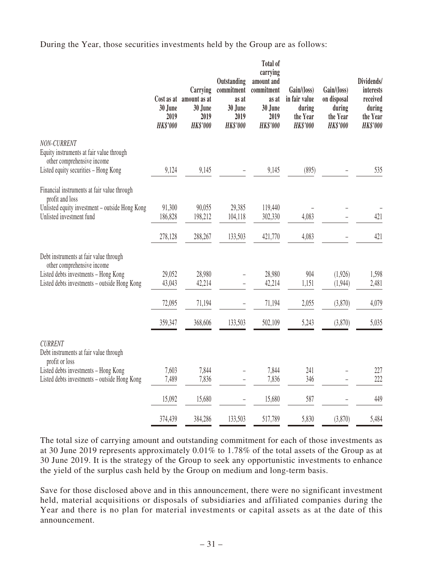During the Year, those securities investments held by the Group are as follows:

|                                                                                       | 30 June<br>2019<br><b>HK\$'000</b> | Carrying<br>Cost as at amount as at<br>30 June<br>2019<br><b>HK\$'000</b> | Outstanding<br>commitment<br>as at<br>30 June<br>2019<br><b>HK\$'000</b> | <b>Total of</b><br>carrying<br>amount and<br>commitment<br>as at<br>30 June<br>2019<br><b>HK\$'000</b> | Gain/(loss)<br>in fair value<br>during<br>the Year<br><b>HK\$'000</b> | Gain/(loss)<br>on disposal<br>during<br>the Year<br><b>HK\$'000</b> | Dividends/<br>interests<br>received<br>during<br>the Year<br><b>HK\$'000</b> |
|---------------------------------------------------------------------------------------|------------------------------------|---------------------------------------------------------------------------|--------------------------------------------------------------------------|--------------------------------------------------------------------------------------------------------|-----------------------------------------------------------------------|---------------------------------------------------------------------|------------------------------------------------------------------------------|
| NON-CURRENT<br>Equity instruments at fair value through<br>other comprehensive income |                                    |                                                                           |                                                                          |                                                                                                        |                                                                       |                                                                     |                                                                              |
| Listed equity securities - Hong Kong                                                  | 9,124                              | 9,145                                                                     |                                                                          | 9,145                                                                                                  | (895)                                                                 |                                                                     | 535                                                                          |
| Financial instruments at fair value through<br>profit and loss                        |                                    |                                                                           |                                                                          |                                                                                                        |                                                                       |                                                                     |                                                                              |
| Unlisted equity investment - outside Hong Kong                                        | 91,300                             | 90,055                                                                    | 29,385                                                                   | 119,440                                                                                                |                                                                       |                                                                     |                                                                              |
| Unlisted investment fund                                                              | 186,828                            | 198,212                                                                   | 104,118                                                                  | 302,330                                                                                                | 4,083                                                                 |                                                                     | 421                                                                          |
|                                                                                       | 278,128                            | 288,267                                                                   | 133,503                                                                  | 421,770                                                                                                | 4,083                                                                 |                                                                     | 421                                                                          |
| Debt instruments at fair value through<br>other comprehensive income                  |                                    |                                                                           |                                                                          |                                                                                                        |                                                                       |                                                                     |                                                                              |
| Listed debts investments - Hong Kong                                                  | 29,052                             | 28,980                                                                    |                                                                          | 28,980                                                                                                 | 904                                                                   | (1,926)                                                             | 1,598                                                                        |
| Listed debts investments - outside Hong Kong                                          | 43,043                             | 42,214                                                                    |                                                                          | 42,214                                                                                                 | 1,151                                                                 | (1,944)                                                             | 2,481                                                                        |
|                                                                                       | 72,095                             | 71,194                                                                    |                                                                          | 71,194                                                                                                 | 2,055                                                                 | (3,870)                                                             | 4,079                                                                        |
|                                                                                       | 359,347                            | 368,606                                                                   | 133,503                                                                  | 502,109                                                                                                | 5,243                                                                 | (3,870)                                                             | 5,035                                                                        |
| <b>CURRENT</b><br>Debt instruments at fair value through<br>profit or loss            |                                    |                                                                           |                                                                          |                                                                                                        |                                                                       |                                                                     |                                                                              |
| Listed debts investments - Hong Kong                                                  | 7,603                              | 7,844                                                                     |                                                                          | 7,844                                                                                                  | 241                                                                   |                                                                     | 227                                                                          |
| Listed debts investments - outside Hong Kong                                          | 7,489                              | 7,836                                                                     |                                                                          | 7,836                                                                                                  | 346                                                                   |                                                                     | 222                                                                          |
|                                                                                       | 15,092                             | 15,680                                                                    |                                                                          | 15,680                                                                                                 | 587                                                                   |                                                                     | 449                                                                          |
|                                                                                       | 374,439                            | 384,286                                                                   | 133,503                                                                  | 517,789                                                                                                | 5,830                                                                 | (3,870)                                                             | 5,484                                                                        |

The total size of carrying amount and outstanding commitment for each of those investments as at 30 June 2019 represents approximately 0.01% to 1.78% of the total assets of the Group as at 30 June 2019. It is the strategy of the Group to seek any opportunistic investments to enhance the yield of the surplus cash held by the Group on medium and long-term basis.

Save for those disclosed above and in this announcement, there were no significant investment held, material acquisitions or disposals of subsidiaries and affiliated companies during the Year and there is no plan for material investments or capital assets as at the date of this announcement.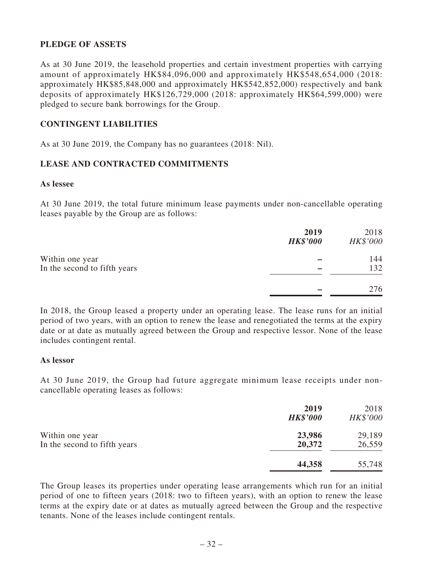### **PLEDGE OF ASSETS**

As at 30 June 2019, the leasehold properties and certain investment properties with carrying amount of approximately HK\$84,096,000 and approximately HK\$548,654,000 (2018: approximately HK\$85,848,000 and approximately HK\$542,852,000) respectively and bank deposits of approximately HK\$126,729,000 (2018: approximately HK\$64,599,000) were pledged to secure bank borrowings for the Group.

### **CONTINGENT LIABILITIES**

As at 30 June 2019, the Company has no guarantees (2018: Nil).

### **LEASE AND CONTRACTED COMMITMENTS**

#### **As lessee**

At 30 June 2019, the total future minimum lease payments under non-cancellable operating leases payable by the Group are as follows:

|                                                 | 2019<br><b>HK\$'000</b> | 2018<br>HK\$'000 |
|-------------------------------------------------|-------------------------|------------------|
| Within one year<br>In the second to fifth years |                         | 144<br>132       |
|                                                 |                         | 276              |

In 2018, the Group leased a property under an operating lease. The lease runs for an initial period of two years, with an option to renew the lease and renegotiated the terms at the expiry date or at date as mutually agreed between the Group and respective lessor. None of the lease includes contingent rental.

#### **As lessor**

At 30 June 2019, the Group had future aggregate minimum lease receipts under noncancellable operating leases as follows:

|                                                 | 2019<br><b>HK\$'000</b> | 2018<br>HK\$'000 |
|-------------------------------------------------|-------------------------|------------------|
| Within one year<br>In the second to fifth years | 23,986<br>20,372        | 29,189<br>26,559 |
|                                                 | 44,358                  | 55,748           |

The Group leases its properties under operating lease arrangements which run for an initial period of one to fifteen years (2018: two to fifteen years), with an option to renew the lease terms at the expiry date or at dates as mutually agreed between the Group and the respective tenants. None of the leases include contingent rentals.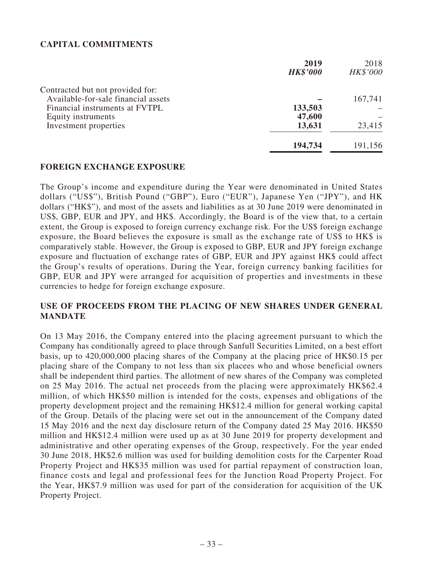### **CAPITAL COMMITMENTS**

|                                     | 2019            | 2018     |
|-------------------------------------|-----------------|----------|
|                                     | <b>HK\$'000</b> | HK\$'000 |
| Contracted but not provided for:    |                 |          |
| Available-for-sale financial assets |                 | 167,741  |
| Financial instruments at FVTPL      | 133,503         |          |
| Equity instruments                  | 47,600          |          |
| Investment properties               | 13,631          | 23,415   |
|                                     | 194,734         | 191,156  |

#### **FOREIGN EXCHANGE EXPOSURE**

The Group's income and expenditure during the Year were denominated in United States dollars ("US\$"), British Pound ("GBP"), Euro ("EUR"), Japanese Yen ("JPY"), and HK dollars ("HK\$"), and most of the assets and liabilities as at 30 June 2019 were denominated in US\$, GBP, EUR and JPY, and HK\$. Accordingly, the Board is of the view that, to a certain extent, the Group is exposed to foreign currency exchange risk. For the US\$ foreign exchange exposure, the Board believes the exposure is small as the exchange rate of US\$ to HK\$ is comparatively stable. However, the Group is exposed to GBP, EUR and JPY foreign exchange exposure and fluctuation of exchange rates of GBP, EUR and JPY against HK\$ could affect the Group's results of operations. During the Year, foreign currency banking facilities for GBP, EUR and JPY were arranged for acquisition of properties and investments in these currencies to hedge for foreign exchange exposure.

### **USE OF PROCEEDS FROM THE PLACING OF NEW SHARES UNDER GENERAL MANDATE**

On 13 May 2016, the Company entered into the placing agreement pursuant to which the Company has conditionally agreed to place through Sanfull Securities Limited, on a best effort basis, up to 420,000,000 placing shares of the Company at the placing price of HK\$0.15 per placing share of the Company to not less than six placees who and whose beneficial owners shall be independent third parties. The allotment of new shares of the Company was completed on 25 May 2016. The actual net proceeds from the placing were approximately HK\$62.4 million, of which HK\$50 million is intended for the costs, expenses and obligations of the property development project and the remaining HK\$12.4 million for general working capital of the Group. Details of the placing were set out in the announcement of the Company dated 15 May 2016 and the next day disclosure return of the Company dated 25 May 2016. HK\$50 million and HK\$12.4 million were used up as at 30 June 2019 for property development and administrative and other operating expenses of the Group, respectively. For the year ended 30 June 2018, HK\$2.6 million was used for building demolition costs for the Carpenter Road Property Project and HK\$35 million was used for partial repayment of construction loan, finance costs and legal and professional fees for the Junction Road Property Project. For the Year, HK\$7.9 million was used for part of the consideration for acquisition of the UK Property Project.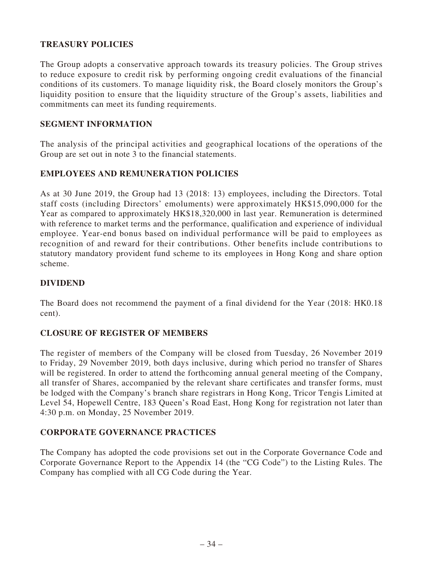# **TREASURY POLICIES**

The Group adopts a conservative approach towards its treasury policies. The Group strives to reduce exposure to credit risk by performing ongoing credit evaluations of the financial conditions of its customers. To manage liquidity risk, the Board closely monitors the Group's liquidity position to ensure that the liquidity structure of the Group's assets, liabilities and commitments can meet its funding requirements.

### **SEGMENT INFORMATION**

The analysis of the principal activities and geographical locations of the operations of the Group are set out in note 3 to the financial statements.

### **EMPLOYEES AND REMUNERATION POLICIES**

As at 30 June 2019, the Group had 13 (2018: 13) employees, including the Directors. Total staff costs (including Directors' emoluments) were approximately HK\$15,090,000 for the Year as compared to approximately HK\$18,320,000 in last year. Remuneration is determined with reference to market terms and the performance, qualification and experience of individual employee. Year-end bonus based on individual performance will be paid to employees as recognition of and reward for their contributions. Other benefits include contributions to statutory mandatory provident fund scheme to its employees in Hong Kong and share option scheme.

### **DIVIDEND**

The Board does not recommend the payment of a final dividend for the Year (2018: HK0.18 cent).

#### **CLOSURE OF REGISTER OF MEMBERS**

The register of members of the Company will be closed from Tuesday, 26 November 2019 to Friday, 29 November 2019, both days inclusive, during which period no transfer of Shares will be registered. In order to attend the forthcoming annual general meeting of the Company, all transfer of Shares, accompanied by the relevant share certificates and transfer forms, must be lodged with the Company's branch share registrars in Hong Kong, Tricor Tengis Limited at Level 54, Hopewell Centre, 183 Queen's Road East, Hong Kong for registration not later than 4:30 p.m. on Monday, 25 November 2019.

### **CORPORATE GOVERNANCE PRACTICES**

The Company has adopted the code provisions set out in the Corporate Governance Code and Corporate Governance Report to the Appendix 14 (the "CG Code") to the Listing Rules. The Company has complied with all CG Code during the Year.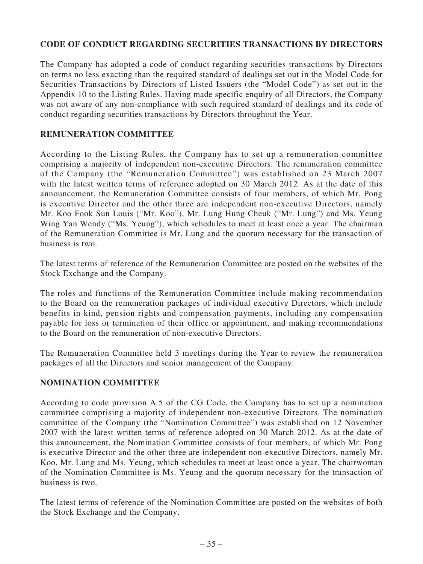# **CODE OF CONDUCT REGARDING SECURITIES TRANSACTIONS BY DIRECTORS**

The Company has adopted a code of conduct regarding securities transactions by Directors on terms no less exacting than the required standard of dealings set out in the Model Code for Securities Transactions by Directors of Listed Issuers (the "Model Code") as set out in the Appendix 10 to the Listing Rules. Having made specific enquiry of all Directors, the Company was not aware of any non-compliance with such required standard of dealings and its code of conduct regarding securities transactions by Directors throughout the Year.

### **REMUNERATION COMMITTEE**

According to the Listing Rules, the Company has to set up a remuneration committee comprising a majority of independent non-executive Directors. The remuneration committee of the Company (the "Remuneration Committee") was established on 23 March 2007 with the latest written terms of reference adopted on 30 March 2012. As at the date of this announcement, the Remuneration Committee consists of four members, of which Mr. Pong is executive Director and the other three are independent non-executive Directors, namely Mr. Koo Fook Sun Louis ("Mr. Koo"), Mr. Lung Hung Cheuk ("Mr. Lung") and Ms. Yeung Wing Yan Wendy ("Ms. Yeung"), which schedules to meet at least once a year. The chairman of the Remuneration Committee is Mr. Lung and the quorum necessary for the transaction of business is two.

The latest terms of reference of the Remuneration Committee are posted on the websites of the Stock Exchange and the Company.

The roles and functions of the Remuneration Committee include making recommendation to the Board on the remuneration packages of individual executive Directors, which include benefits in kind, pension rights and compensation payments, including any compensation payable for loss or termination of their office or appointment, and making recommendations to the Board on the remuneration of non-executive Directors.

The Remuneration Committee held 3 meetings during the Year to review the remuneration packages of all the Directors and senior management of the Company.

### **NOMINATION COMMITTEE**

According to code provision A.5 of the CG Code, the Company has to set up a nomination committee comprising a majority of independent non-executive Directors. The nomination committee of the Company (the "Nomination Committee") was established on 12 November 2007 with the latest written terms of reference adopted on 30 March 2012. As at the date of this announcement, the Nomination Committee consists of four members, of which Mr. Pong is executive Director and the other three are independent non-executive Directors, namely Mr. Koo, Mr. Lung and Ms. Yeung, which schedules to meet at least once a year. The chairwoman of the Nomination Committee is Ms. Yeung and the quorum necessary for the transaction of business is two.

The latest terms of reference of the Nomination Committee are posted on the websites of both the Stock Exchange and the Company.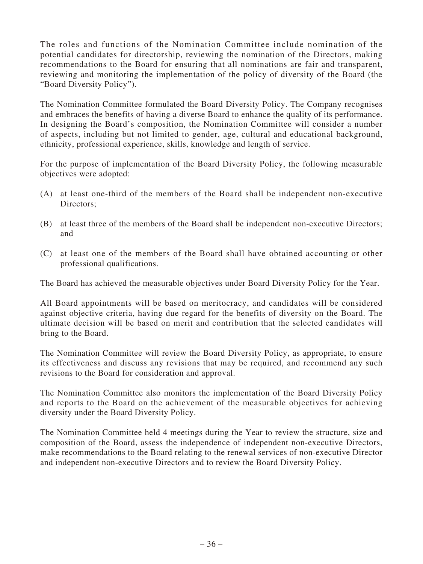The roles and functions of the Nomination Committee include nomination of the potential candidates for directorship, reviewing the nomination of the Directors, making recommendations to the Board for ensuring that all nominations are fair and transparent, reviewing and monitoring the implementation of the policy of diversity of the Board (the "Board Diversity Policy").

The Nomination Committee formulated the Board Diversity Policy. The Company recognises and embraces the benefits of having a diverse Board to enhance the quality of its performance. In designing the Board's composition, the Nomination Committee will consider a number of aspects, including but not limited to gender, age, cultural and educational background, ethnicity, professional experience, skills, knowledge and length of service.

For the purpose of implementation of the Board Diversity Policy, the following measurable objectives were adopted:

- (A) at least one-third of the members of the Board shall be independent non-executive Directors;
- (B) at least three of the members of the Board shall be independent non-executive Directors; and
- (C) at least one of the members of the Board shall have obtained accounting or other professional qualifications.

The Board has achieved the measurable objectives under Board Diversity Policy for the Year.

All Board appointments will be based on meritocracy, and candidates will be considered against objective criteria, having due regard for the benefits of diversity on the Board. The ultimate decision will be based on merit and contribution that the selected candidates will bring to the Board.

The Nomination Committee will review the Board Diversity Policy, as appropriate, to ensure its effectiveness and discuss any revisions that may be required, and recommend any such revisions to the Board for consideration and approval.

The Nomination Committee also monitors the implementation of the Board Diversity Policy and reports to the Board on the achievement of the measurable objectives for achieving diversity under the Board Diversity Policy.

The Nomination Committee held 4 meetings during the Year to review the structure, size and composition of the Board, assess the independence of independent non-executive Directors, make recommendations to the Board relating to the renewal services of non-executive Director and independent non-executive Directors and to review the Board Diversity Policy.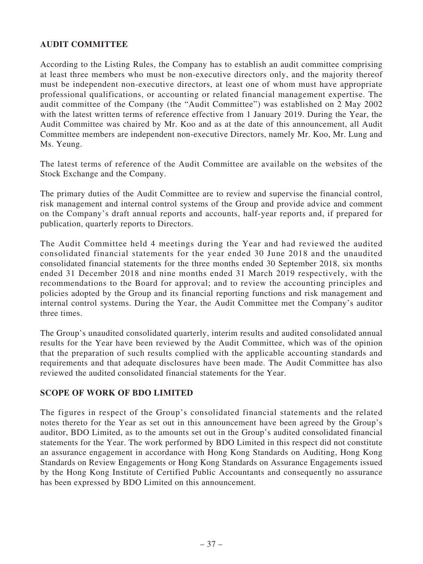# **AUDIT COMMITTEE**

According to the Listing Rules, the Company has to establish an audit committee comprising at least three members who must be non-executive directors only, and the majority thereof must be independent non-executive directors, at least one of whom must have appropriate professional qualifications, or accounting or related financial management expertise. The audit committee of the Company (the "Audit Committee") was established on 2 May 2002 with the latest written terms of reference effective from 1 January 2019. During the Year, the Audit Committee was chaired by Mr. Koo and as at the date of this announcement, all Audit Committee members are independent non-executive Directors, namely Mr. Koo, Mr. Lung and Ms. Yeung.

The latest terms of reference of the Audit Committee are available on the websites of the Stock Exchange and the Company.

The primary duties of the Audit Committee are to review and supervise the financial control, risk management and internal control systems of the Group and provide advice and comment on the Company's draft annual reports and accounts, half-year reports and, if prepared for publication, quarterly reports to Directors.

The Audit Committee held 4 meetings during the Year and had reviewed the audited consolidated financial statements for the year ended 30 June 2018 and the unaudited consolidated financial statements for the three months ended 30 September 2018, six months ended 31 December 2018 and nine months ended 31 March 2019 respectively, with the recommendations to the Board for approval; and to review the accounting principles and policies adopted by the Group and its financial reporting functions and risk management and internal control systems. During the Year, the Audit Committee met the Company's auditor three times.

The Group's unaudited consolidated quarterly, interim results and audited consolidated annual results for the Year have been reviewed by the Audit Committee, which was of the opinion that the preparation of such results complied with the applicable accounting standards and requirements and that adequate disclosures have been made. The Audit Committee has also reviewed the audited consolidated financial statements for the Year.

#### **SCOPE OF WORK OF BDO LIMITED**

The figures in respect of the Group's consolidated financial statements and the related notes thereto for the Year as set out in this announcement have been agreed by the Group's auditor, BDO Limited, as to the amounts set out in the Group's audited consolidated financial statements for the Year. The work performed by BDO Limited in this respect did not constitute an assurance engagement in accordance with Hong Kong Standards on Auditing, Hong Kong Standards on Review Engagements or Hong Kong Standards on Assurance Engagements issued by the Hong Kong Institute of Certified Public Accountants and consequently no assurance has been expressed by BDO Limited on this announcement.